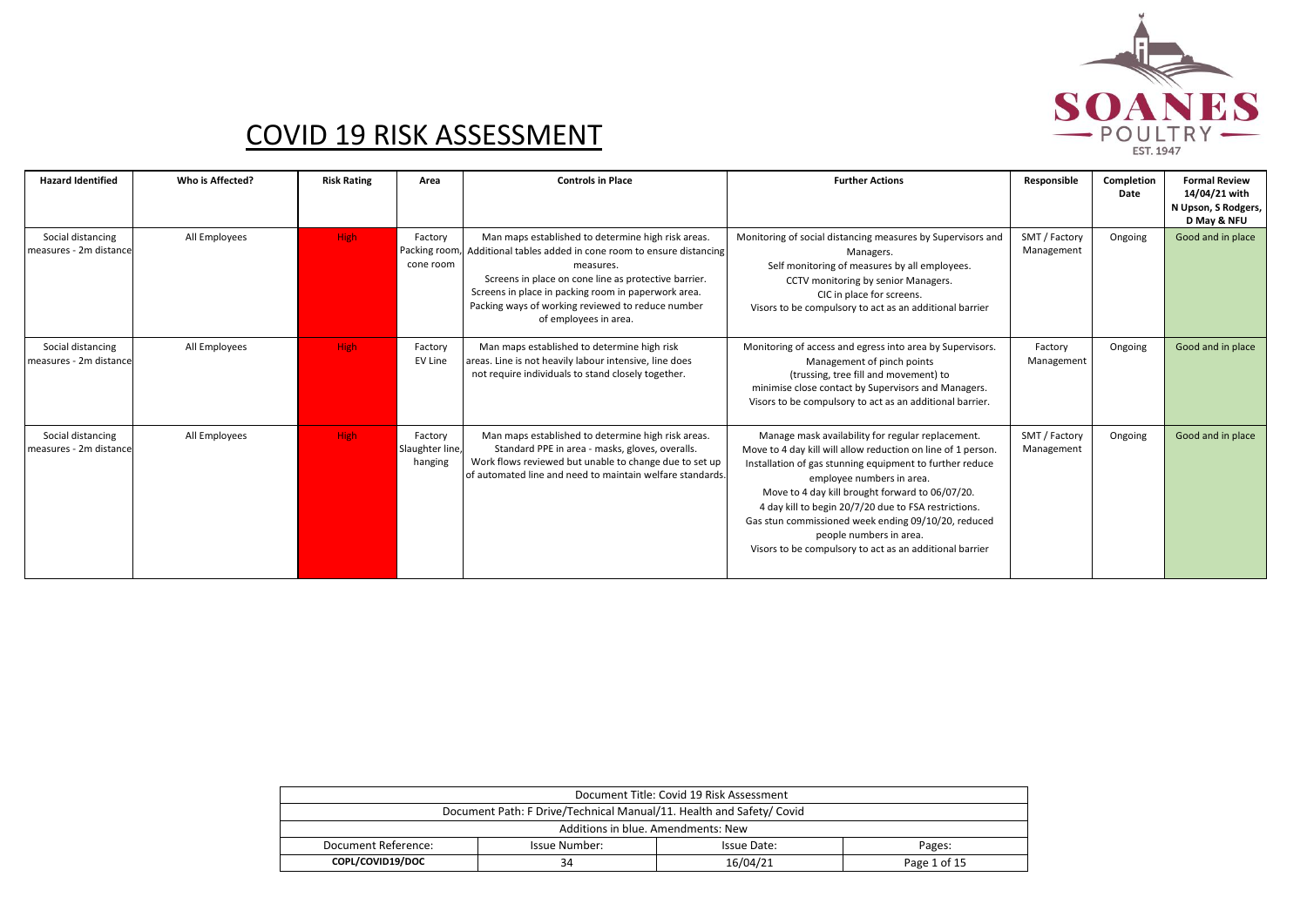

| <b>Hazard Identified</b>                    | Who is Affected? | <b>Risk Rating</b> | Area                                  | <b>Controls in Place</b>                                                                                                                                                                                                                                                                                                                | <b>Further Actions</b>                                                                                                                                                                                                                                                                                                                                                                                                                                             | Responsible                 | Completion<br>Date | <b>Formal Review</b><br>14/04/21 with<br>N Upson, S Rodgers,<br>D May & NFU |
|---------------------------------------------|------------------|--------------------|---------------------------------------|-----------------------------------------------------------------------------------------------------------------------------------------------------------------------------------------------------------------------------------------------------------------------------------------------------------------------------------------|--------------------------------------------------------------------------------------------------------------------------------------------------------------------------------------------------------------------------------------------------------------------------------------------------------------------------------------------------------------------------------------------------------------------------------------------------------------------|-----------------------------|--------------------|-----------------------------------------------------------------------------|
| Social distancing<br>measures - 2m distance | All Employees    | High               | Factory<br>cone room                  | Man maps established to determine high risk areas.<br>Packing room, Additional tables added in cone room to ensure distancing<br>measures.<br>Screens in place on cone line as protective barrier.<br>Screens in place in packing room in paperwork area.<br>Packing ways of working reviewed to reduce number<br>of employees in area. | Monitoring of social distancing measures by Supervisors and<br>Managers.<br>Self monitoring of measures by all employees.<br>CCTV monitoring by senior Managers.<br>CIC in place for screens.<br>Visors to be compulsory to act as an additional barrier                                                                                                                                                                                                           | SMT / Factory<br>Management | Ongoing            | Good and in place                                                           |
| Social distancing<br>measures - 2m distance | All Employees    | <b>High</b>        | Factory<br>EV Line                    | Man maps established to determine high risk<br>areas. Line is not heavily labour intensive, line does<br>not require individuals to stand closely together.                                                                                                                                                                             | Monitoring of access and egress into area by Supervisors.<br>Management of pinch points<br>(trussing, tree fill and movement) to<br>minimise close contact by Supervisors and Managers.<br>Visors to be compulsory to act as an additional barrier.                                                                                                                                                                                                                | Factory<br>Management       | Ongoing            | Good and in place                                                           |
| Social distancing<br>measures - 2m distance | All Employees    | High               | Factory<br>Slaughter line,<br>hanging | Man maps established to determine high risk areas.<br>Standard PPE in area - masks, gloves, overalls.<br>Work flows reviewed but unable to change due to set up<br>of automated line and need to maintain welfare standards.                                                                                                            | Manage mask availability for regular replacement.<br>Move to 4 day kill will allow reduction on line of 1 person.<br>Installation of gas stunning equipment to further reduce<br>employee numbers in area.<br>Move to 4 day kill brought forward to 06/07/20.<br>4 day kill to begin 20/7/20 due to FSA restrictions.<br>Gas stun commissioned week ending 09/10/20, reduced<br>people numbers in area.<br>Visors to be compulsory to act as an additional barrier | SMT / Factory<br>Management | Ongoing            | Good and in place                                                           |

| Document Title: Covid 19 Risk Assessment                             |                                        |  |  |  |  |  |  |  |
|----------------------------------------------------------------------|----------------------------------------|--|--|--|--|--|--|--|
| Document Path: F Drive/Technical Manual/11. Health and Safety/ Covid |                                        |  |  |  |  |  |  |  |
| Additions in blue. Amendments: New                                   |                                        |  |  |  |  |  |  |  |
| Document Reference:                                                  | Issue Number:<br>Issue Date:<br>Pages: |  |  |  |  |  |  |  |
| COPL/COVID19/DOC<br>16/04/21<br>Page 1 of 15<br>34                   |                                        |  |  |  |  |  |  |  |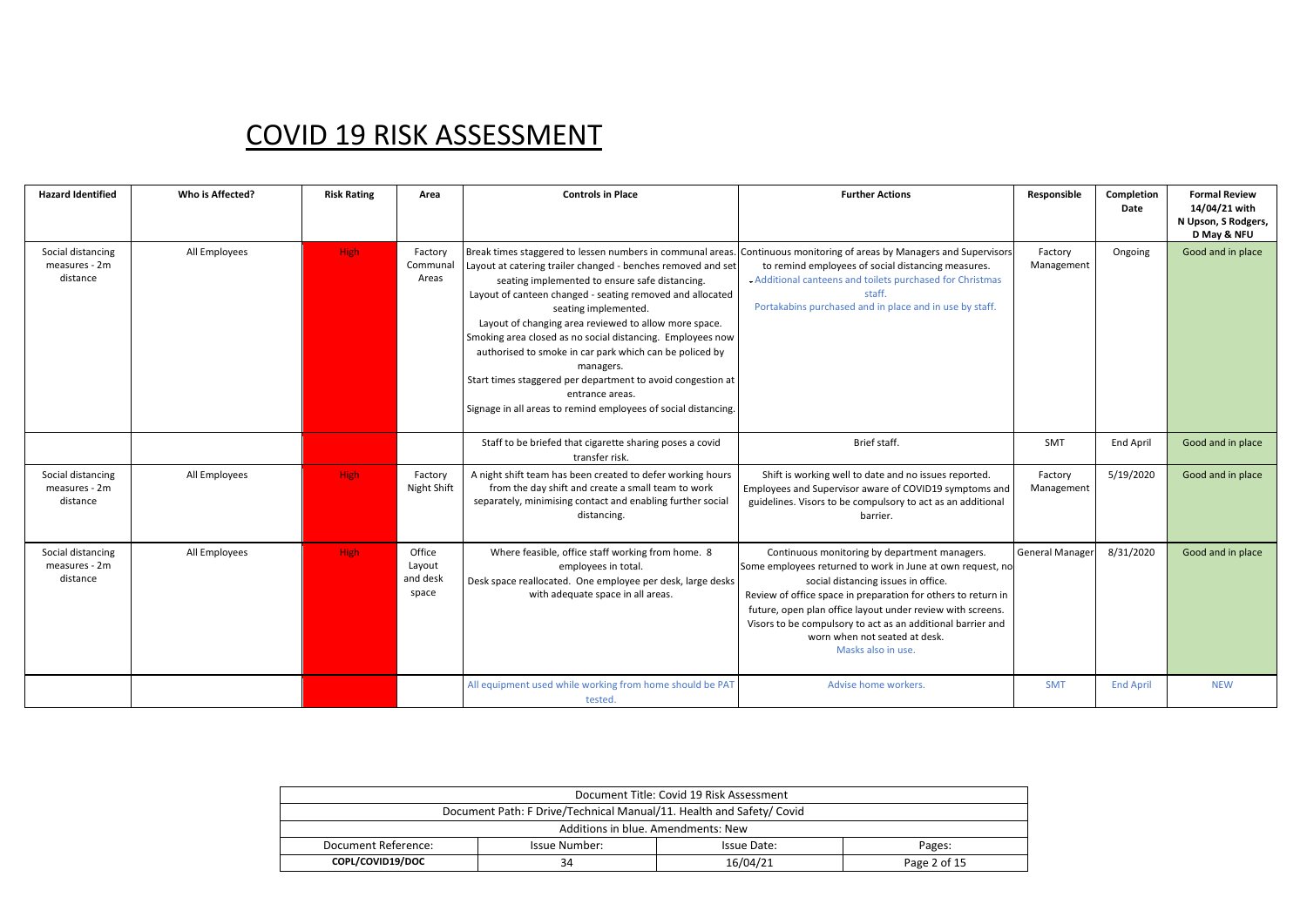| <b>Hazard Identified</b>                       | Who is Affected? | <b>Risk Rating</b> | Area                                  | <b>Controls in Place</b>                                                                                                                                                                                                                                                                                                                                                                                                                                                                                                                                                                                             | <b>Further Actions</b>                                                                                                                                                                                                                                                                                                                                                                                  | Responsible            | Completion<br>Date | <b>Formal Review</b><br>14/04/21 with<br>N Upson, S Rodgers,<br>D May & NFU |
|------------------------------------------------|------------------|--------------------|---------------------------------------|----------------------------------------------------------------------------------------------------------------------------------------------------------------------------------------------------------------------------------------------------------------------------------------------------------------------------------------------------------------------------------------------------------------------------------------------------------------------------------------------------------------------------------------------------------------------------------------------------------------------|---------------------------------------------------------------------------------------------------------------------------------------------------------------------------------------------------------------------------------------------------------------------------------------------------------------------------------------------------------------------------------------------------------|------------------------|--------------------|-----------------------------------------------------------------------------|
| Social distancing<br>measures - 2m<br>distance | All Employees    | <b>High</b>        | Factory<br>Communal<br>Areas          | Break times staggered to lessen numbers in communal areas.<br>Layout at catering trailer changed - benches removed and set<br>seating implemented to ensure safe distancing.<br>Layout of canteen changed - seating removed and allocated<br>seating implemented.<br>Layout of changing area reviewed to allow more space.<br>Smoking area closed as no social distancing. Employees now<br>authorised to smoke in car park which can be policed by<br>managers.<br>Start times staggered per department to avoid congestion at<br>entrance areas.<br>Signage in all areas to remind employees of social distancing. | Continuous monitoring of areas by Managers and Supervisors<br>to remind employees of social distancing measures.<br>Additional canteens and toilets purchased for Christmas<br>staff.<br>Portakabins purchased and in place and in use by staff.                                                                                                                                                        | Factory<br>Management  | Ongoing            | Good and in place                                                           |
|                                                |                  |                    |                                       | Staff to be briefed that cigarette sharing poses a covid<br>transfer risk.                                                                                                                                                                                                                                                                                                                                                                                                                                                                                                                                           | Brief staff.                                                                                                                                                                                                                                                                                                                                                                                            | <b>SMT</b>             | End April          | Good and in place                                                           |
| Social distancing<br>measures - 2m<br>distance | All Employees    | <b>High</b>        | Factory<br>Night Shift                | A night shift team has been created to defer working hours<br>from the day shift and create a small team to work<br>separately, minimising contact and enabling further social<br>distancing.                                                                                                                                                                                                                                                                                                                                                                                                                        | Shift is working well to date and no issues reported.<br>Employees and Supervisor aware of COVID19 symptoms and<br>guidelines. Visors to be compulsory to act as an additional<br>barrier.                                                                                                                                                                                                              | Factory<br>Management  | 5/19/2020          | Good and in place                                                           |
| Social distancing<br>measures - 2m<br>distance | All Employees    | <b>High</b>        | Office<br>Layout<br>and desk<br>space | Where feasible, office staff working from home. 8<br>employees in total.<br>Desk space reallocated. One employee per desk, large desks<br>with adequate space in all areas.                                                                                                                                                                                                                                                                                                                                                                                                                                          | Continuous monitoring by department managers.<br>Some employees returned to work in June at own request, no<br>social distancing issues in office.<br>Review of office space in preparation for others to return in<br>future, open plan office layout under review with screens.<br>Visors to be compulsory to act as an additional barrier and<br>worn when not seated at desk.<br>Masks also in use. | <b>General Manager</b> | 8/31/2020          | Good and in place                                                           |
|                                                |                  |                    |                                       | All equipment used while working from home should be PAT<br>tested.                                                                                                                                                                                                                                                                                                                                                                                                                                                                                                                                                  | Advise home workers.                                                                                                                                                                                                                                                                                                                                                                                    | <b>SMT</b>             | <b>End April</b>   | <b>NEW</b>                                                                  |

| Document Title: Covid 19 Risk Assessment                             |                                        |  |  |  |  |  |  |  |
|----------------------------------------------------------------------|----------------------------------------|--|--|--|--|--|--|--|
| Document Path: F Drive/Technical Manual/11. Health and Safety/ Covid |                                        |  |  |  |  |  |  |  |
| Additions in blue. Amendments: New                                   |                                        |  |  |  |  |  |  |  |
| Document Reference:                                                  | Issue Number:<br>Issue Date:<br>Pages: |  |  |  |  |  |  |  |
| COPL/COVID19/DOC<br>16/04/21<br>Page 2 of 15<br>34                   |                                        |  |  |  |  |  |  |  |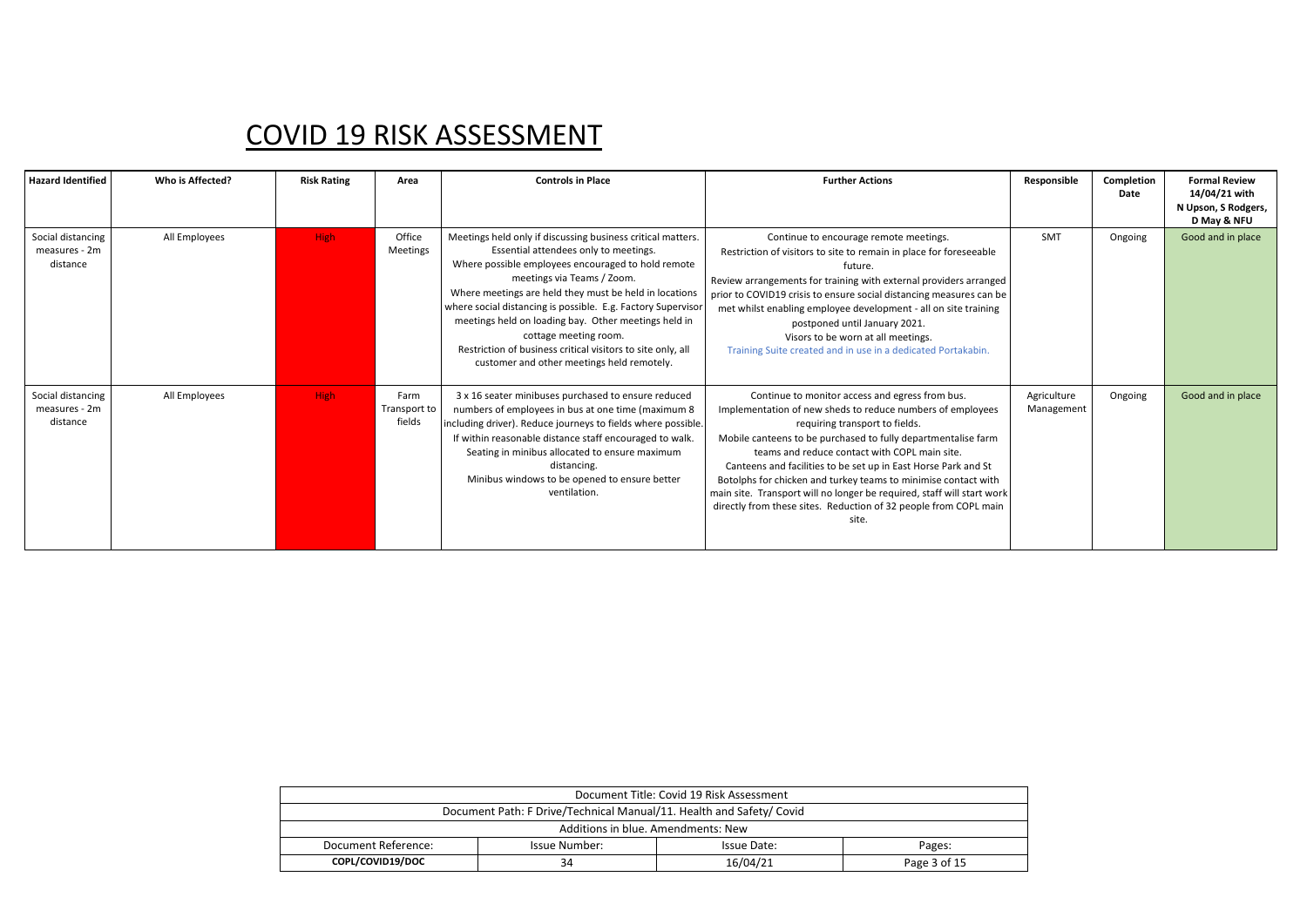| <b>Hazard Identified</b>                       | Who is Affected? | <b>Risk Rating</b> | Area                           | <b>Controls in Place</b>                                                                                                                                                                                                                                                                                                                                                                                                                                                                                         | <b>Further Actions</b>                                                                                                                                                                                                                                                                                                                                                                                                                                                                                                                                       | Responsible               | Completion<br>Date | <b>Formal Review</b><br>14/04/21 with<br>N Upson, S Rodgers,<br>D May & NFU |
|------------------------------------------------|------------------|--------------------|--------------------------------|------------------------------------------------------------------------------------------------------------------------------------------------------------------------------------------------------------------------------------------------------------------------------------------------------------------------------------------------------------------------------------------------------------------------------------------------------------------------------------------------------------------|--------------------------------------------------------------------------------------------------------------------------------------------------------------------------------------------------------------------------------------------------------------------------------------------------------------------------------------------------------------------------------------------------------------------------------------------------------------------------------------------------------------------------------------------------------------|---------------------------|--------------------|-----------------------------------------------------------------------------|
| Social distancing<br>measures - 2m<br>distance | All Employees    | High               | Office<br>Meetings             | Meetings held only if discussing business critical matters.<br>Essential attendees only to meetings.<br>Where possible employees encouraged to hold remote<br>meetings via Teams / Zoom.<br>Where meetings are held they must be held in locations<br>where social distancing is possible. E.g. Factory Supervisor<br>meetings held on loading bay. Other meetings held in<br>cottage meeting room.<br>Restriction of business critical visitors to site only, all<br>customer and other meetings held remotely. | Continue to encourage remote meetings.<br>Restriction of visitors to site to remain in place for foreseeable<br>future.<br>Review arrangements for training with external providers arranged<br>prior to COVID19 crisis to ensure social distancing measures can be<br>met whilst enabling employee development - all on site training<br>postponed until January 2021.<br>Visors to be worn at all meetings.<br>Training Suite created and in use in a dedicated Portakabin.                                                                                | <b>SMT</b>                | Ongoing            | Good and in place                                                           |
| Social distancing<br>measures - 2m<br>distance | All Employees    | High               | Farm<br>Transport to<br>fields | 3 x 16 seater minibuses purchased to ensure reduced<br>numbers of employees in bus at one time (maximum 8<br>including driver). Reduce journeys to fields where possible.<br>If within reasonable distance staff encouraged to walk.<br>Seating in minibus allocated to ensure maximum<br>distancing.<br>Minibus windows to be opened to ensure better<br>ventilation.                                                                                                                                           | Continue to monitor access and egress from bus.<br>Implementation of new sheds to reduce numbers of employees<br>requiring transport to fields.<br>Mobile canteens to be purchased to fully departmentalise farm<br>teams and reduce contact with COPL main site.<br>Canteens and facilities to be set up in East Horse Park and St<br>Botolphs for chicken and turkey teams to minimise contact with<br>main site. Transport will no longer be required, staff will start work<br>directly from these sites. Reduction of 32 people from COPL main<br>site. | Agriculture<br>Management | Ongoing            | Good and in place                                                           |

| Document Title: Covid 19 Risk Assessment                             |                                        |  |  |  |  |  |  |  |
|----------------------------------------------------------------------|----------------------------------------|--|--|--|--|--|--|--|
| Document Path: F Drive/Technical Manual/11. Health and Safety/ Covid |                                        |  |  |  |  |  |  |  |
| Additions in blue. Amendments: New                                   |                                        |  |  |  |  |  |  |  |
| Document Reference:                                                  | Issue Number:<br>Issue Date:<br>Pages: |  |  |  |  |  |  |  |
| COPL/COVID19/DOC<br>16/04/21<br>Page 3 of 15<br>34                   |                                        |  |  |  |  |  |  |  |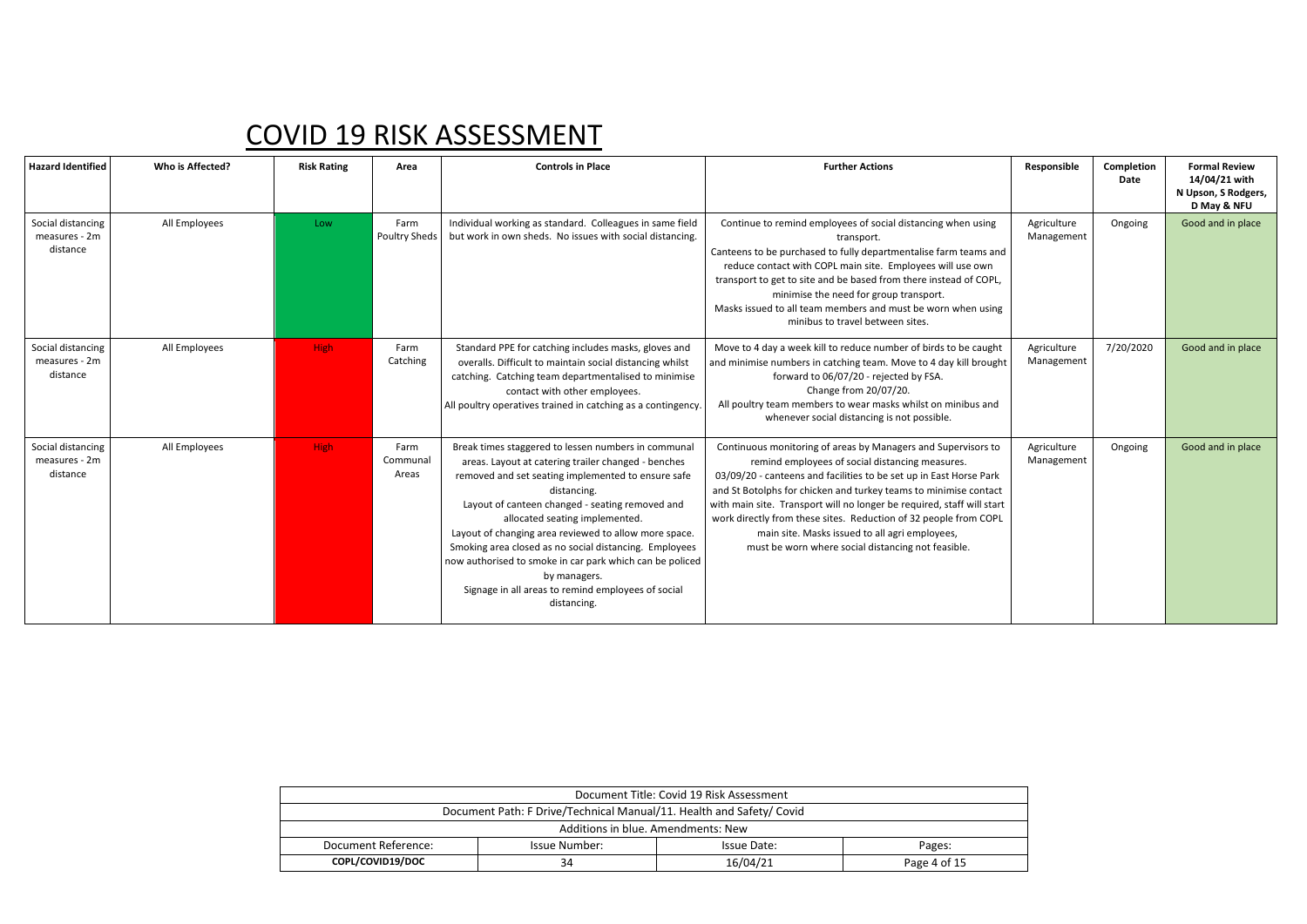| <b>Hazard Identified</b>                       | Who is Affected? | <b>Risk Rating</b> | Area                      | <b>Controls in Place</b>                                                                                                                                                                                                                                                                                                                                                                                                                                                                                                                 | <b>Further Actions</b>                                                                                                                                                                                                                                                                                                                                                                                                                                                                                           | Responsible               | Completion<br>Date | <b>Formal Review</b><br>14/04/21 with<br>N Upson, S Rodgers,<br>D May & NFU |
|------------------------------------------------|------------------|--------------------|---------------------------|------------------------------------------------------------------------------------------------------------------------------------------------------------------------------------------------------------------------------------------------------------------------------------------------------------------------------------------------------------------------------------------------------------------------------------------------------------------------------------------------------------------------------------------|------------------------------------------------------------------------------------------------------------------------------------------------------------------------------------------------------------------------------------------------------------------------------------------------------------------------------------------------------------------------------------------------------------------------------------------------------------------------------------------------------------------|---------------------------|--------------------|-----------------------------------------------------------------------------|
| Social distancing<br>measures - 2m<br>distance | All Employees    | Low                | Farm<br>Poultry Sheds     | Individual working as standard. Colleagues in same field<br>but work in own sheds. No issues with social distancing.                                                                                                                                                                                                                                                                                                                                                                                                                     | Continue to remind employees of social distancing when using<br>transport.<br>Canteens to be purchased to fully departmentalise farm teams and<br>reduce contact with COPL main site. Employees will use own<br>transport to get to site and be based from there instead of COPL,<br>minimise the need for group transport.<br>Masks issued to all team members and must be worn when using<br>minibus to travel between sites.                                                                                  | Agriculture<br>Management | Ongoing            | Good and in place                                                           |
| Social distancing<br>measures - 2m<br>distance | All Employees    | High               | Farm<br>Catching          | Standard PPE for catching includes masks, gloves and<br>overalls. Difficult to maintain social distancing whilst<br>catching. Catching team departmentalised to minimise<br>contact with other employees.<br>All poultry operatives trained in catching as a contingency.                                                                                                                                                                                                                                                                | Move to 4 day a week kill to reduce number of birds to be caught<br>and minimise numbers in catching team. Move to 4 day kill brought<br>forward to 06/07/20 - rejected by FSA.<br>Change from 20/07/20.<br>All poultry team members to wear masks whilst on minibus and<br>whenever social distancing is not possible.                                                                                                                                                                                          | Agriculture<br>Management | 7/20/2020          | Good and in place                                                           |
| Social distancing<br>measures - 2m<br>distance | All Employees    | <b>High</b>        | Farm<br>Communal<br>Areas | Break times staggered to lessen numbers in communal<br>areas. Layout at catering trailer changed - benches<br>removed and set seating implemented to ensure safe<br>distancing.<br>Layout of canteen changed - seating removed and<br>allocated seating implemented.<br>Layout of changing area reviewed to allow more space.<br>Smoking area closed as no social distancing. Employees<br>now authorised to smoke in car park which can be policed<br>by managers.<br>Signage in all areas to remind employees of social<br>distancing. | Continuous monitoring of areas by Managers and Supervisors to<br>remind employees of social distancing measures.<br>03/09/20 - canteens and facilities to be set up in East Horse Park<br>and St Botolphs for chicken and turkey teams to minimise contact<br>with main site. Transport will no longer be required, staff will start<br>work directly from these sites. Reduction of 32 people from COPL<br>main site. Masks issued to all agri employees,<br>must be worn where social distancing not feasible. | Agriculture<br>Management | Ongoing            | Good and in place                                                           |

| Document Title: Covid 19 Risk Assessment                             |                                        |  |  |  |  |  |  |  |
|----------------------------------------------------------------------|----------------------------------------|--|--|--|--|--|--|--|
| Document Path: F Drive/Technical Manual/11. Health and Safety/ Covid |                                        |  |  |  |  |  |  |  |
| Additions in blue. Amendments: New                                   |                                        |  |  |  |  |  |  |  |
| Document Reference:                                                  | Issue Number:<br>Issue Date:<br>Pages: |  |  |  |  |  |  |  |
| COPL/COVID19/DOC<br>16/04/21<br>Page 4 of 15<br>34                   |                                        |  |  |  |  |  |  |  |
|                                                                      |                                        |  |  |  |  |  |  |  |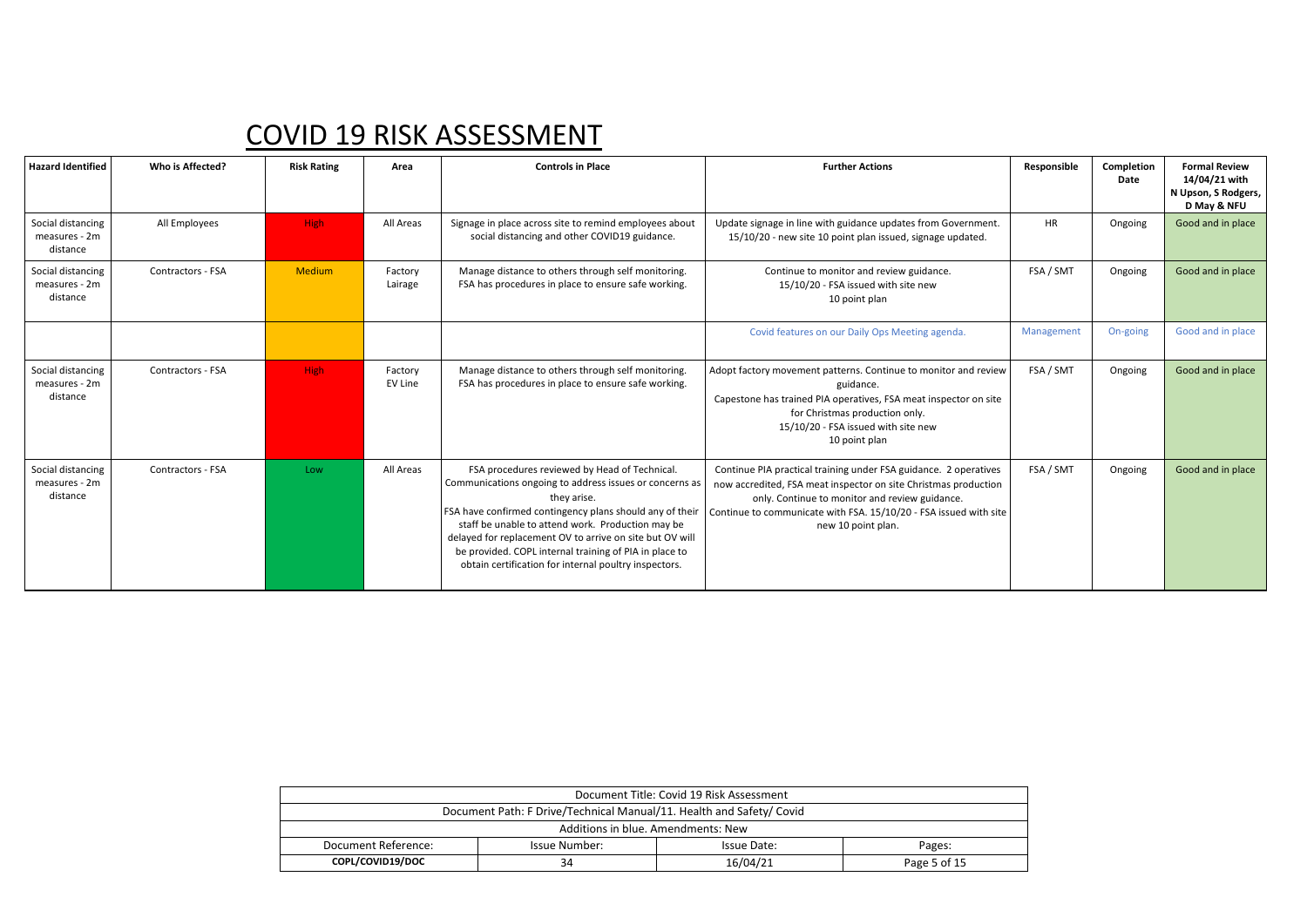| <b>Hazard Identified</b>                       | Who is Affected?  | <b>Risk Rating</b> | Area               | <b>Controls in Place</b>                                                                                                                                                                                                                                                                                                                                                                                                | <b>Further Actions</b>                                                                                                                                                                                                                                                           | Responsible | Completion<br>Date | <b>Formal Review</b><br>14/04/21 with<br>N Upson, S Rodgers,<br>D May & NFU |
|------------------------------------------------|-------------------|--------------------|--------------------|-------------------------------------------------------------------------------------------------------------------------------------------------------------------------------------------------------------------------------------------------------------------------------------------------------------------------------------------------------------------------------------------------------------------------|----------------------------------------------------------------------------------------------------------------------------------------------------------------------------------------------------------------------------------------------------------------------------------|-------------|--------------------|-----------------------------------------------------------------------------|
| Social distancing<br>measures - 2m<br>distance | All Employees     | <b>High</b>        | All Areas          | Signage in place across site to remind employees about<br>social distancing and other COVID19 guidance.                                                                                                                                                                                                                                                                                                                 | Update signage in line with guidance updates from Government.<br>15/10/20 - new site 10 point plan issued, signage updated.                                                                                                                                                      | <b>HR</b>   | Ongoing            | Good and in place                                                           |
| Social distancing<br>measures - 2m<br>distance | Contractors - FSA | <b>Medium</b>      | Factory<br>Lairage | Manage distance to others through self monitoring.<br>FSA has procedures in place to ensure safe working.                                                                                                                                                                                                                                                                                                               | Continue to monitor and review guidance.<br>15/10/20 - FSA issued with site new<br>10 point plan                                                                                                                                                                                 | FSA / SMT   | Ongoing            | Good and in place                                                           |
|                                                |                   |                    |                    |                                                                                                                                                                                                                                                                                                                                                                                                                         | Covid features on our Daily Ops Meeting agenda.                                                                                                                                                                                                                                  | Management  | On-going           | Good and in place                                                           |
| Social distancing<br>measures - 2m<br>distance | Contractors - FSA | High               | Factory<br>EV Line | Manage distance to others through self monitoring.<br>FSA has procedures in place to ensure safe working.                                                                                                                                                                                                                                                                                                               | Adopt factory movement patterns. Continue to monitor and review<br>guidance.<br>Capestone has trained PIA operatives, FSA meat inspector on site<br>for Christmas production only.<br>15/10/20 - FSA issued with site new<br>10 point plan                                       | FSA / SMT   | Ongoing            | Good and in place                                                           |
| Social distancing<br>measures - 2m<br>distance | Contractors - FSA | Low                | All Areas          | FSA procedures reviewed by Head of Technical.<br>Communications ongoing to address issues or concerns as<br>they arise.<br>FSA have confirmed contingency plans should any of their<br>staff be unable to attend work. Production may be<br>delayed for replacement OV to arrive on site but OV will<br>be provided. COPL internal training of PIA in place to<br>obtain certification for internal poultry inspectors. | Continue PIA practical training under FSA guidance. 2 operatives<br>now accredited, FSA meat inspector on site Christmas production<br>only. Continue to monitor and review guidance.<br>Continue to communicate with FSA. 15/10/20 - FSA issued with site<br>new 10 point plan. | FSA / SMT   | Ongoing            | Good and in place                                                           |

| Document Title: Covid 19 Risk Assessment                             |                                        |  |  |  |  |  |  |  |
|----------------------------------------------------------------------|----------------------------------------|--|--|--|--|--|--|--|
| Document Path: F Drive/Technical Manual/11. Health and Safety/ Covid |                                        |  |  |  |  |  |  |  |
| Additions in blue. Amendments: New                                   |                                        |  |  |  |  |  |  |  |
| Document Reference:                                                  | Issue Number:<br>Issue Date:<br>Pages: |  |  |  |  |  |  |  |
| COPL/COVID19/DOC<br>16/04/21<br>34<br>Page 5 of 15                   |                                        |  |  |  |  |  |  |  |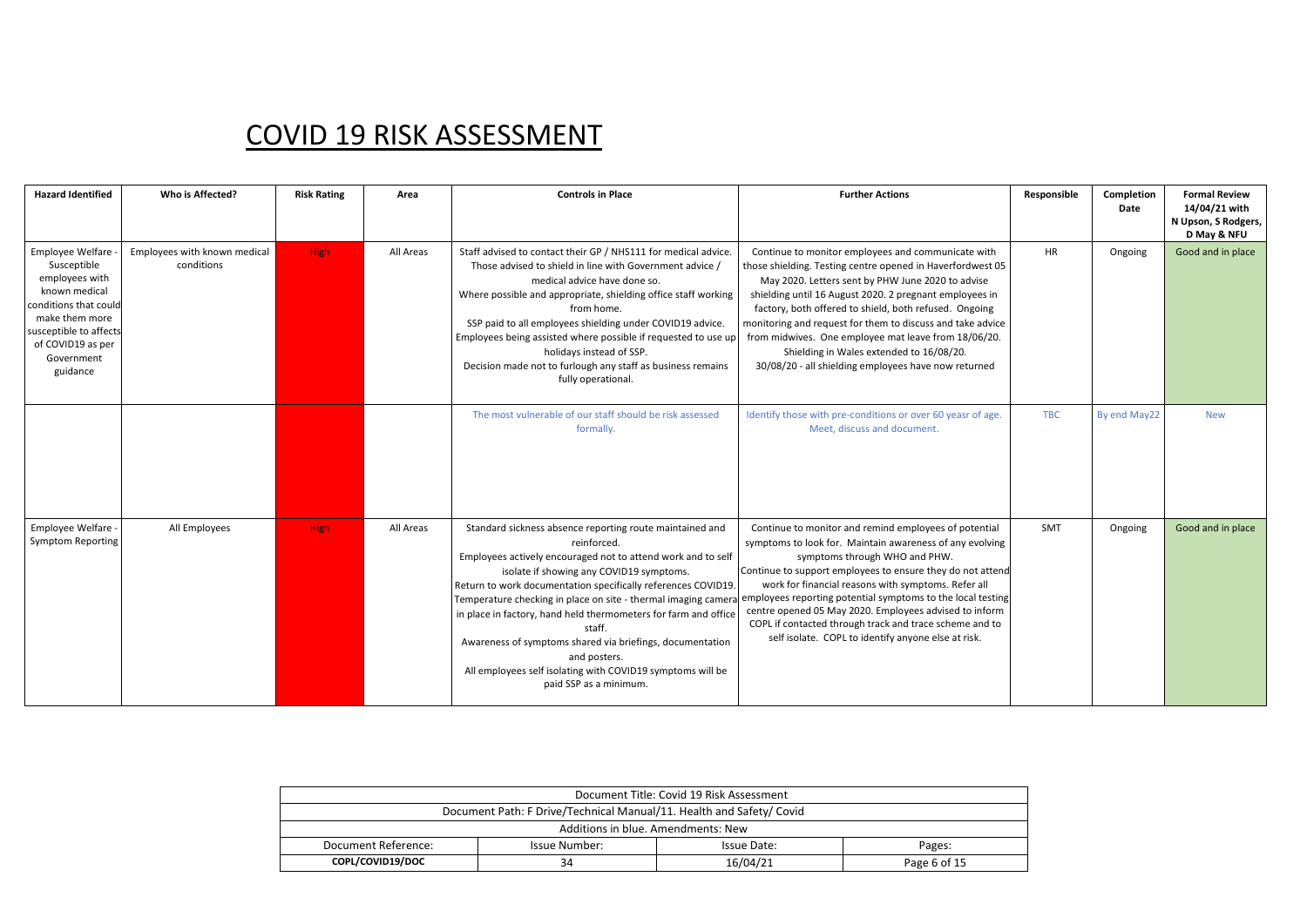| <b>Hazard Identified</b>                                                                                                                                                                 | Who is Affected?                           | <b>Risk Rating</b> | Area      | <b>Controls in Place</b>                                                                                                                                                                                                                                                                                                                                                                                                                                                                                                                                                 | <b>Further Actions</b>                                                                                                                                                                                                                                                                                                                                                                                                                                                                                               | Responsible | Completion<br>Date | <b>Formal Review</b><br>14/04/21 with<br>N Upson, S Rodgers,<br>D May & NFU |
|------------------------------------------------------------------------------------------------------------------------------------------------------------------------------------------|--------------------------------------------|--------------------|-----------|--------------------------------------------------------------------------------------------------------------------------------------------------------------------------------------------------------------------------------------------------------------------------------------------------------------------------------------------------------------------------------------------------------------------------------------------------------------------------------------------------------------------------------------------------------------------------|----------------------------------------------------------------------------------------------------------------------------------------------------------------------------------------------------------------------------------------------------------------------------------------------------------------------------------------------------------------------------------------------------------------------------------------------------------------------------------------------------------------------|-------------|--------------------|-----------------------------------------------------------------------------|
| Employee Welfare -<br>Susceptible<br>employees with<br>known medical<br>conditions that could<br>make them more<br>susceptible to affects<br>of COVID19 as per<br>Government<br>guidance | Employees with known medical<br>conditions | <b>High</b>        | All Areas | Staff advised to contact their GP / NHS111 for medical advice.<br>Those advised to shield in line with Government advice /<br>medical advice have done so.<br>Where possible and appropriate, shielding office staff working<br>from home.<br>SSP paid to all employees shielding under COVID19 advice.<br>Employees being assisted where possible if requested to use up<br>holidays instead of SSP.<br>Decision made not to furlough any staff as business remains<br>fully operational.                                                                               | Continue to monitor employees and communicate with<br>those shielding. Testing centre opened in Haverfordwest 05<br>May 2020. Letters sent by PHW June 2020 to advise<br>shielding until 16 August 2020. 2 pregnant employees in<br>factory, both offered to shield, both refused. Ongoing<br>monitoring and request for them to discuss and take advice<br>from midwives. One employee mat leave from 18/06/20.<br>Shielding in Wales extended to 16/08/20.<br>30/08/20 - all shielding employees have now returned | <b>HR</b>   | Ongoing            | Good and in place                                                           |
|                                                                                                                                                                                          |                                            |                    |           | The most vulnerable of our staff should be risk assessed<br>formally.                                                                                                                                                                                                                                                                                                                                                                                                                                                                                                    | Identify those with pre-conditions or over 60 yeasr of age.<br>Meet, discuss and document.                                                                                                                                                                                                                                                                                                                                                                                                                           | <b>TBC</b>  | By end May22       | <b>New</b>                                                                  |
| Employee Welfare -<br><b>Symptom Reporting</b>                                                                                                                                           | All Employees                              | <b>High</b>        | All Areas | Standard sickness absence reporting route maintained and<br>reinforced.<br>Employees actively encouraged not to attend work and to self<br>isolate if showing any COVID19 symptoms.<br>Return to work documentation specifically references COVID19.<br>Temperature checking in place on site - thermal imaging camera<br>in place in factory, hand held thermometers for farm and office<br>staff.<br>Awareness of symptoms shared via briefings, documentation<br>and posters.<br>All employees self isolating with COVID19 symptoms will be<br>paid SSP as a minimum. | Continue to monitor and remind employees of potential<br>symptoms to look for. Maintain awareness of any evolving<br>symptoms through WHO and PHW.<br>Continue to support employees to ensure they do not attend<br>work for financial reasons with symptoms. Refer all<br>employees reporting potential symptoms to the local testing<br>centre opened 05 May 2020. Employees advised to inform<br>COPL if contacted through track and trace scheme and to<br>self isolate. COPL to identify anyone else at risk.   | <b>SMT</b>  | Ongoing            | Good and in place                                                           |

| Document Title: Covid 19 Risk Assessment                             |                                        |  |  |  |  |  |  |  |
|----------------------------------------------------------------------|----------------------------------------|--|--|--|--|--|--|--|
| Document Path: F Drive/Technical Manual/11. Health and Safety/ Covid |                                        |  |  |  |  |  |  |  |
| Additions in blue. Amendments: New                                   |                                        |  |  |  |  |  |  |  |
| Document Reference:                                                  | Issue Number:<br>Issue Date:<br>Pages: |  |  |  |  |  |  |  |
| COPL/COVID19/DOC<br>16/04/21<br>Page 6 of 15<br>34                   |                                        |  |  |  |  |  |  |  |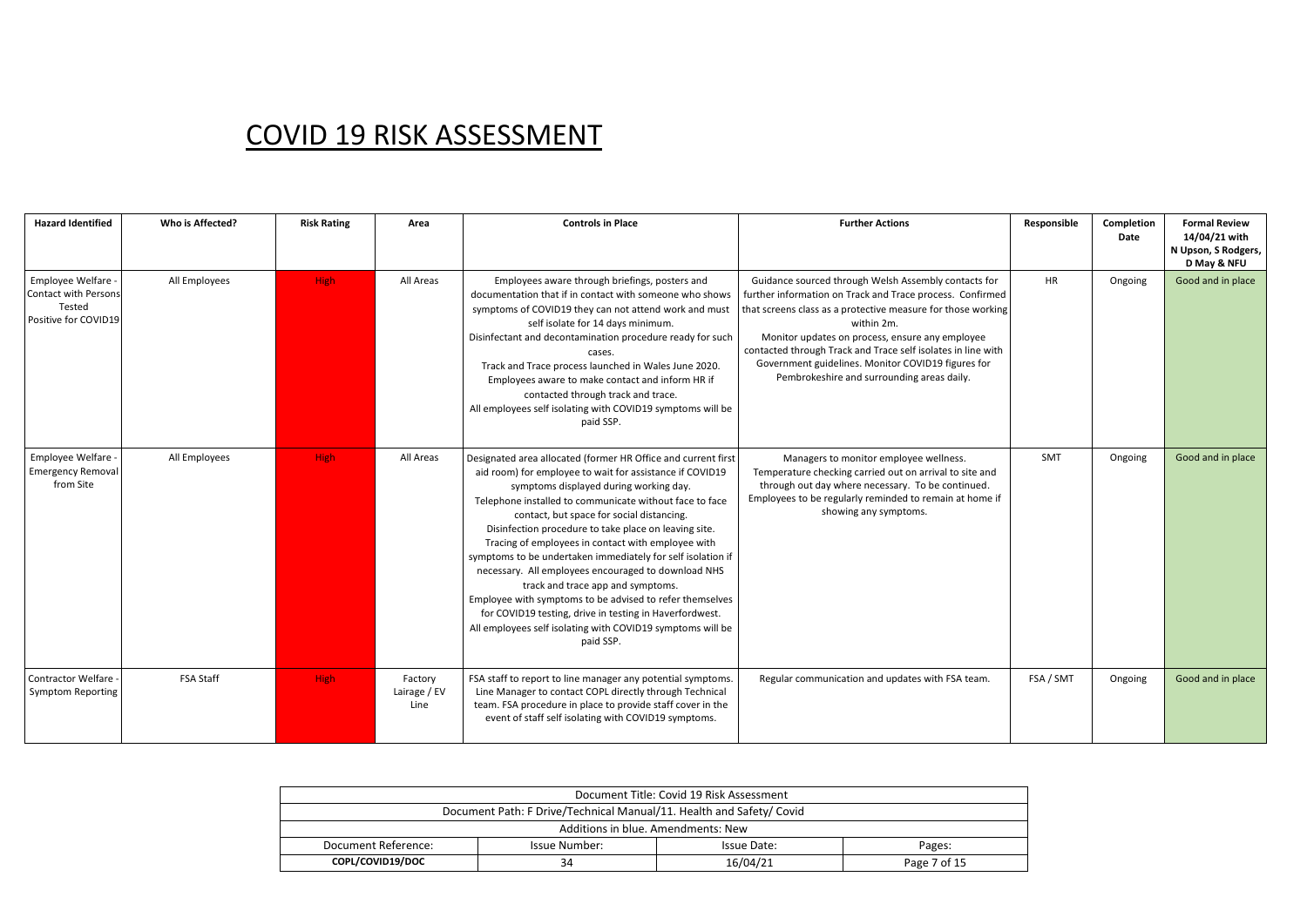| <b>Hazard Identified</b>                                                            | Who is Affected? | <b>Risk Rating</b> | Area                            | <b>Controls in Place</b>                                                                                                                                                                                                                                                                                                                                                                                                                                                                                                                                                                                                                                                                                                                                | <b>Further Actions</b>                                                                                                                                                                                                                                                                                                                                                                                                 | Responsible | Completion<br>Date | <b>Formal Review</b><br>14/04/21 with<br>N Upson, S Rodgers,<br>D May & NFU |
|-------------------------------------------------------------------------------------|------------------|--------------------|---------------------------------|---------------------------------------------------------------------------------------------------------------------------------------------------------------------------------------------------------------------------------------------------------------------------------------------------------------------------------------------------------------------------------------------------------------------------------------------------------------------------------------------------------------------------------------------------------------------------------------------------------------------------------------------------------------------------------------------------------------------------------------------------------|------------------------------------------------------------------------------------------------------------------------------------------------------------------------------------------------------------------------------------------------------------------------------------------------------------------------------------------------------------------------------------------------------------------------|-------------|--------------------|-----------------------------------------------------------------------------|
| Employee Welfare -<br><b>Contact with Persons</b><br>Tested<br>Positive for COVID19 | All Employees    | High               | All Areas                       | Employees aware through briefings, posters and<br>documentation that if in contact with someone who shows<br>symptoms of COVID19 they can not attend work and must<br>self isolate for 14 days minimum.<br>Disinfectant and decontamination procedure ready for such<br>cases.<br>Track and Trace process launched in Wales June 2020.<br>Employees aware to make contact and inform HR if<br>contacted through track and trace.<br>All employees self isolating with COVID19 symptoms will be<br>paid SSP.                                                                                                                                                                                                                                             | Guidance sourced through Welsh Assembly contacts for<br>further information on Track and Trace process. Confirmed<br>that screens class as a protective measure for those working<br>within 2m.<br>Monitor updates on process, ensure any employee<br>contacted through Track and Trace self isolates in line with<br>Government guidelines. Monitor COVID19 figures for<br>Pembrokeshire and surrounding areas daily. | <b>HR</b>   | Ongoing            | Good and in place                                                           |
| Employee Welfare -<br><b>Emergency Removal</b><br>from Site                         | All Employees    | High               | All Areas                       | Designated area allocated (former HR Office and current first<br>aid room) for employee to wait for assistance if COVID19<br>symptoms displayed during working day.<br>Telephone installed to communicate without face to face<br>contact, but space for social distancing.<br>Disinfection procedure to take place on leaving site.<br>Tracing of employees in contact with employee with<br>symptoms to be undertaken immediately for self isolation if<br>necessary. All employees encouraged to download NHS<br>track and trace app and symptoms.<br>Employee with symptoms to be advised to refer themselves<br>for COVID19 testing, drive in testing in Haverfordwest.<br>All employees self isolating with COVID19 symptoms will be<br>paid SSP. | Managers to monitor employee wellness.<br>Temperature checking carried out on arrival to site and<br>through out day where necessary. To be continued.<br>Employees to be regularly reminded to remain at home if<br>showing any symptoms.                                                                                                                                                                             | SMT         | Ongoing            | Good and in place                                                           |
| Contractor Welfare -<br><b>Symptom Reporting</b>                                    | <b>FSA Staff</b> | High               | Factory<br>Lairage / EV<br>Line | FSA staff to report to line manager any potential symptoms.<br>Line Manager to contact COPL directly through Technical<br>team. FSA procedure in place to provide staff cover in the<br>event of staff self isolating with COVID19 symptoms.                                                                                                                                                                                                                                                                                                                                                                                                                                                                                                            | Regular communication and updates with FSA team.                                                                                                                                                                                                                                                                                                                                                                       | FSA / SMT   | Ongoing            | Good and in place                                                           |

| Document Title: Covid 19 Risk Assessment                             |                                        |  |  |  |  |  |  |  |
|----------------------------------------------------------------------|----------------------------------------|--|--|--|--|--|--|--|
| Document Path: F Drive/Technical Manual/11. Health and Safety/ Covid |                                        |  |  |  |  |  |  |  |
| Additions in blue. Amendments: New                                   |                                        |  |  |  |  |  |  |  |
| Document Reference:                                                  | Issue Number:<br>Issue Date:<br>Pages: |  |  |  |  |  |  |  |
| COPL/COVID19/DOC<br>16/04/21<br>Page 7 of 15<br>34                   |                                        |  |  |  |  |  |  |  |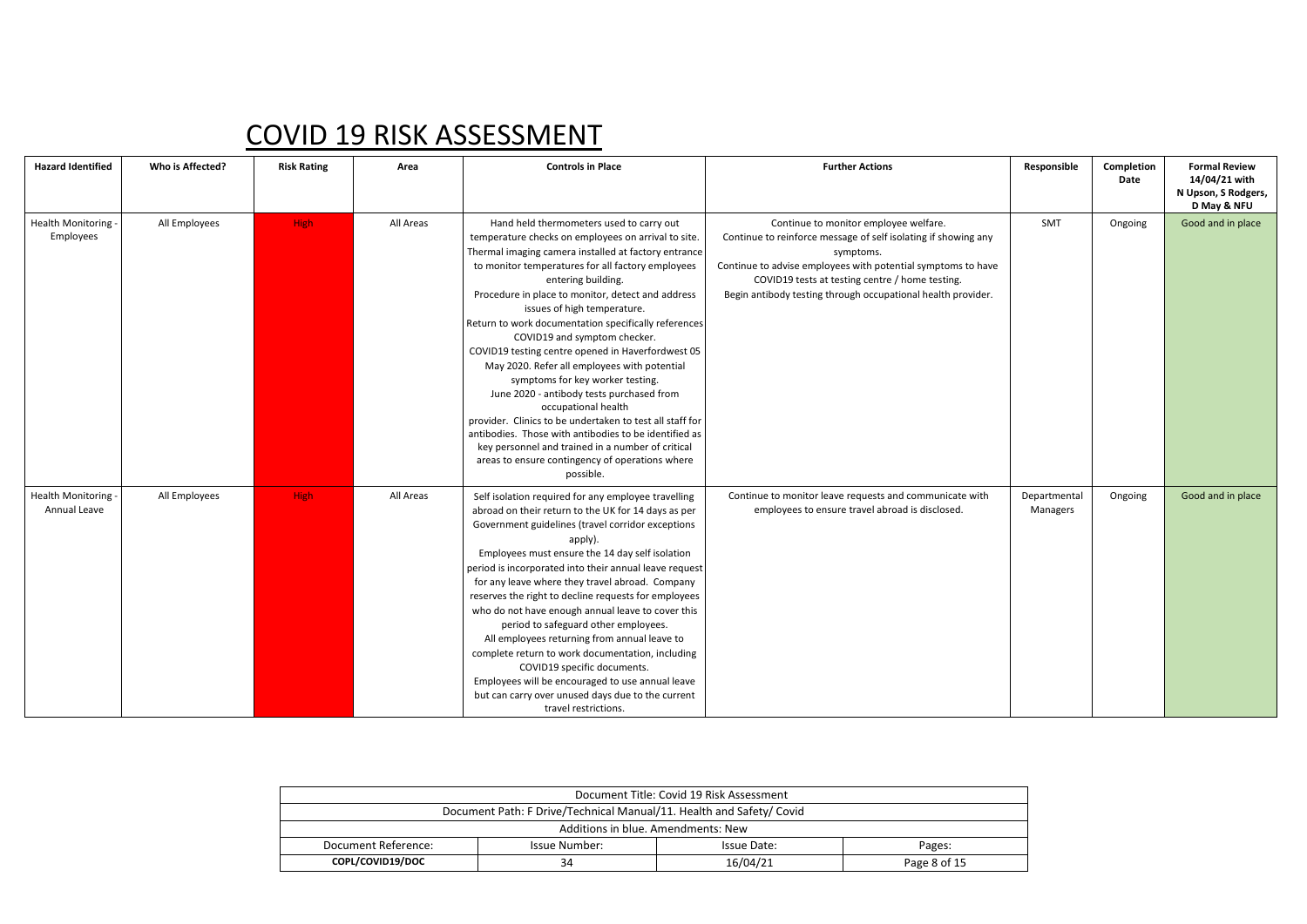| <b>Hazard Identified</b>              | Who is Affected? | <b>Risk Rating</b> | Area      | <b>Controls in Place</b>                                                                                                                                                                                                                                                                                                                                                                                                                                                                                                                                                                                                                                                                                                                                                                                                                                              | <b>Further Actions</b>                                                                                                                                                                                                                                                                                  | Responsible              | Completion<br>Date | <b>Formal Review</b><br>14/04/21 with<br>N Upson, S Rodgers,<br>D May & NFU |
|---------------------------------------|------------------|--------------------|-----------|-----------------------------------------------------------------------------------------------------------------------------------------------------------------------------------------------------------------------------------------------------------------------------------------------------------------------------------------------------------------------------------------------------------------------------------------------------------------------------------------------------------------------------------------------------------------------------------------------------------------------------------------------------------------------------------------------------------------------------------------------------------------------------------------------------------------------------------------------------------------------|---------------------------------------------------------------------------------------------------------------------------------------------------------------------------------------------------------------------------------------------------------------------------------------------------------|--------------------------|--------------------|-----------------------------------------------------------------------------|
| <b>Health Monitoring</b><br>Employees | All Employees    | <b>High</b>        | All Areas | Hand held thermometers used to carry out<br>temperature checks on employees on arrival to site.<br>Thermal imaging camera installed at factory entrance<br>to monitor temperatures for all factory employees<br>entering building.<br>Procedure in place to monitor, detect and address<br>issues of high temperature.<br>Return to work documentation specifically references<br>COVID19 and symptom checker.<br>COVID19 testing centre opened in Haverfordwest 05<br>May 2020. Refer all employees with potential<br>symptoms for key worker testing.<br>June 2020 - antibody tests purchased from<br>occupational health<br>provider. Clinics to be undertaken to test all staff for<br>antibodies. Those with antibodies to be identified as<br>key personnel and trained in a number of critical<br>areas to ensure contingency of operations where<br>possible. | Continue to monitor employee welfare.<br>Continue to reinforce message of self isolating if showing any<br>symptoms.<br>Continue to advise employees with potential symptoms to have<br>COVID19 tests at testing centre / home testing.<br>Begin antibody testing through occupational health provider. | SMT                      | Ongoing            | Good and in place                                                           |
| Health Monitoring<br>Annual Leave     | All Employees    | <b>High</b>        | All Areas | Self isolation required for any employee travelling<br>abroad on their return to the UK for 14 days as per<br>Government guidelines (travel corridor exceptions<br>apply).<br>Employees must ensure the 14 day self isolation<br>period is incorporated into their annual leave request<br>for any leave where they travel abroad. Company<br>reserves the right to decline requests for employees<br>who do not have enough annual leave to cover this<br>period to safeguard other employees.<br>All employees returning from annual leave to<br>complete return to work documentation, including<br>COVID19 specific documents.<br>Employees will be encouraged to use annual leave<br>but can carry over unused days due to the current<br>travel restrictions.                                                                                                   | Continue to monitor leave requests and communicate with<br>employees to ensure travel abroad is disclosed.                                                                                                                                                                                              | Departmental<br>Managers | Ongoing            | Good and in place                                                           |

| Document Title: Covid 19 Risk Assessment                             |                                        |  |  |  |  |  |  |
|----------------------------------------------------------------------|----------------------------------------|--|--|--|--|--|--|
| Document Path: F Drive/Technical Manual/11. Health and Safety/ Covid |                                        |  |  |  |  |  |  |
| Additions in blue. Amendments: New                                   |                                        |  |  |  |  |  |  |
| Document Reference:                                                  | Issue Number:<br>Issue Date:<br>Pages: |  |  |  |  |  |  |
| COPL/COVID19/DOC<br>16/04/21<br>34<br>Page 8 of 15                   |                                        |  |  |  |  |  |  |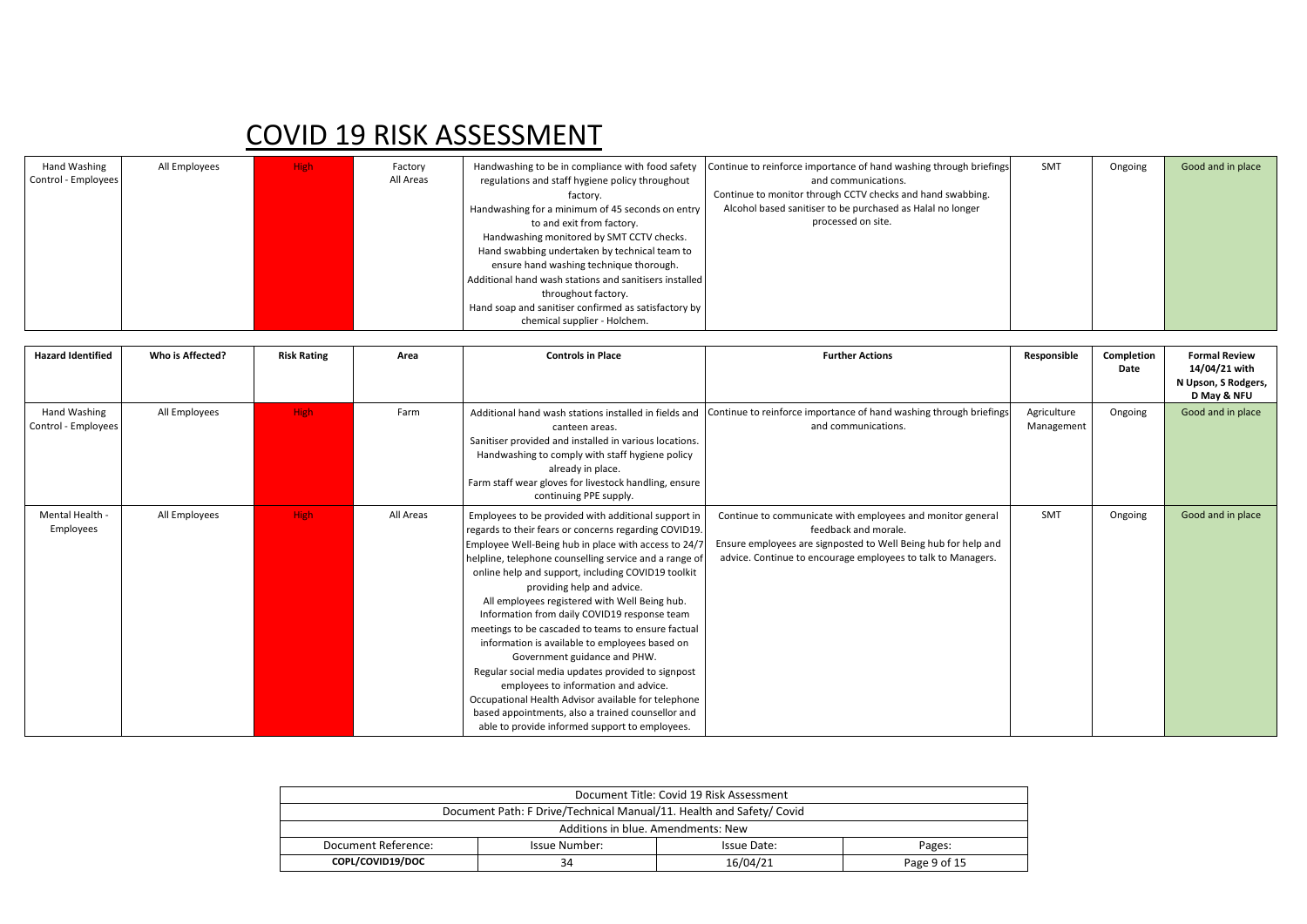| Hand Washing<br>Control - Employees | All Employees | <b>High</b> | Factory<br>All Areas | regulations and staff hygiene policy throughout<br>factory.<br>Handwashing for a minimum of 45 seconds on entry<br>to and exit from factory. | Handwashing to be in compliance with food safety Continue to reinforce importance of hand washing through briefings<br>and communications.<br>Continue to monitor through CCTV checks and hand swabbing.<br>Alcohol based sanitiser to be purchased as Halal no longer<br>processed on site. | SMT | Ongoing | Good and in place |
|-------------------------------------|---------------|-------------|----------------------|----------------------------------------------------------------------------------------------------------------------------------------------|----------------------------------------------------------------------------------------------------------------------------------------------------------------------------------------------------------------------------------------------------------------------------------------------|-----|---------|-------------------|
|                                     |               |             |                      | Handwashing monitored by SMT CCTV checks.                                                                                                    |                                                                                                                                                                                                                                                                                              |     |         |                   |
|                                     |               |             |                      | Hand swabbing undertaken by technical team to<br>ensure hand washing technique thorough.                                                     |                                                                                                                                                                                                                                                                                              |     |         |                   |
|                                     |               |             |                      | Additional hand wash stations and sanitisers installed                                                                                       |                                                                                                                                                                                                                                                                                              |     |         |                   |
|                                     |               |             |                      | throughout factory.                                                                                                                          |                                                                                                                                                                                                                                                                                              |     |         |                   |
|                                     |               |             |                      | Hand soap and sanitiser confirmed as satisfactory by<br>chemical supplier - Holchem.                                                         |                                                                                                                                                                                                                                                                                              |     |         |                   |

| <b>Hazard Identified</b>            | Who is Affected? | <b>Risk Rating</b> | Area      | <b>Controls in Place</b>                                                                                                                                                                                                                                                                                                                                                                                                                                                                                                                                                                                                                                                                                                                                                                                               | <b>Further Actions</b>                                                                                                                                                                                               | Responsible               | Completion<br>Date | <b>Formal Review</b><br>14/04/21 with<br>N Upson, S Rodgers,<br>D May & NFU |
|-------------------------------------|------------------|--------------------|-----------|------------------------------------------------------------------------------------------------------------------------------------------------------------------------------------------------------------------------------------------------------------------------------------------------------------------------------------------------------------------------------------------------------------------------------------------------------------------------------------------------------------------------------------------------------------------------------------------------------------------------------------------------------------------------------------------------------------------------------------------------------------------------------------------------------------------------|----------------------------------------------------------------------------------------------------------------------------------------------------------------------------------------------------------------------|---------------------------|--------------------|-----------------------------------------------------------------------------|
| Hand Washing<br>Control - Employees | All Employees    | <b>High</b>        | Farm      | canteen areas.<br>Sanitiser provided and installed in various locations.<br>Handwashing to comply with staff hygiene policy<br>already in place.<br>Farm staff wear gloves for livestock handling, ensure<br>continuing PPE supply.                                                                                                                                                                                                                                                                                                                                                                                                                                                                                                                                                                                    | Additional hand wash stations installed in fields and Continue to reinforce importance of hand washing through briefings<br>and communications.                                                                      | Agriculture<br>Management | Ongoing            | Good and in place                                                           |
| Mental Health -<br>Employees        | All Employees    | <b>High</b>        | All Areas | Employees to be provided with additional support in<br>regards to their fears or concerns regarding COVID19.<br>Employee Well-Being hub in place with access to 24/.<br>helpline, telephone counselling service and a range of<br>online help and support, including COVID19 toolkit<br>providing help and advice.<br>All employees registered with Well Being hub.<br>Information from daily COVID19 response team<br>meetings to be cascaded to teams to ensure factual<br>information is available to employees based on<br>Government guidance and PHW.<br>Regular social media updates provided to signpost<br>employees to information and advice.<br>Occupational Health Advisor available for telephone<br>based appointments, also a trained counsellor and<br>able to provide informed support to employees. | Continue to communicate with employees and monitor general<br>feedback and morale.<br>Ensure employees are signposted to Well Being hub for help and<br>advice. Continue to encourage employees to talk to Managers. | SMT                       | Ongoing            | Good and in place                                                           |

| Document Title: Covid 19 Risk Assessment                             |  |  |  |  |  |  |  |
|----------------------------------------------------------------------|--|--|--|--|--|--|--|
| Document Path: F Drive/Technical Manual/11. Health and Safety/ Covid |  |  |  |  |  |  |  |
| Additions in blue. Amendments: New                                   |  |  |  |  |  |  |  |
|                                                                      |  |  |  |  |  |  |  |
|                                                                      |  |  |  |  |  |  |  |
|                                                                      |  |  |  |  |  |  |  |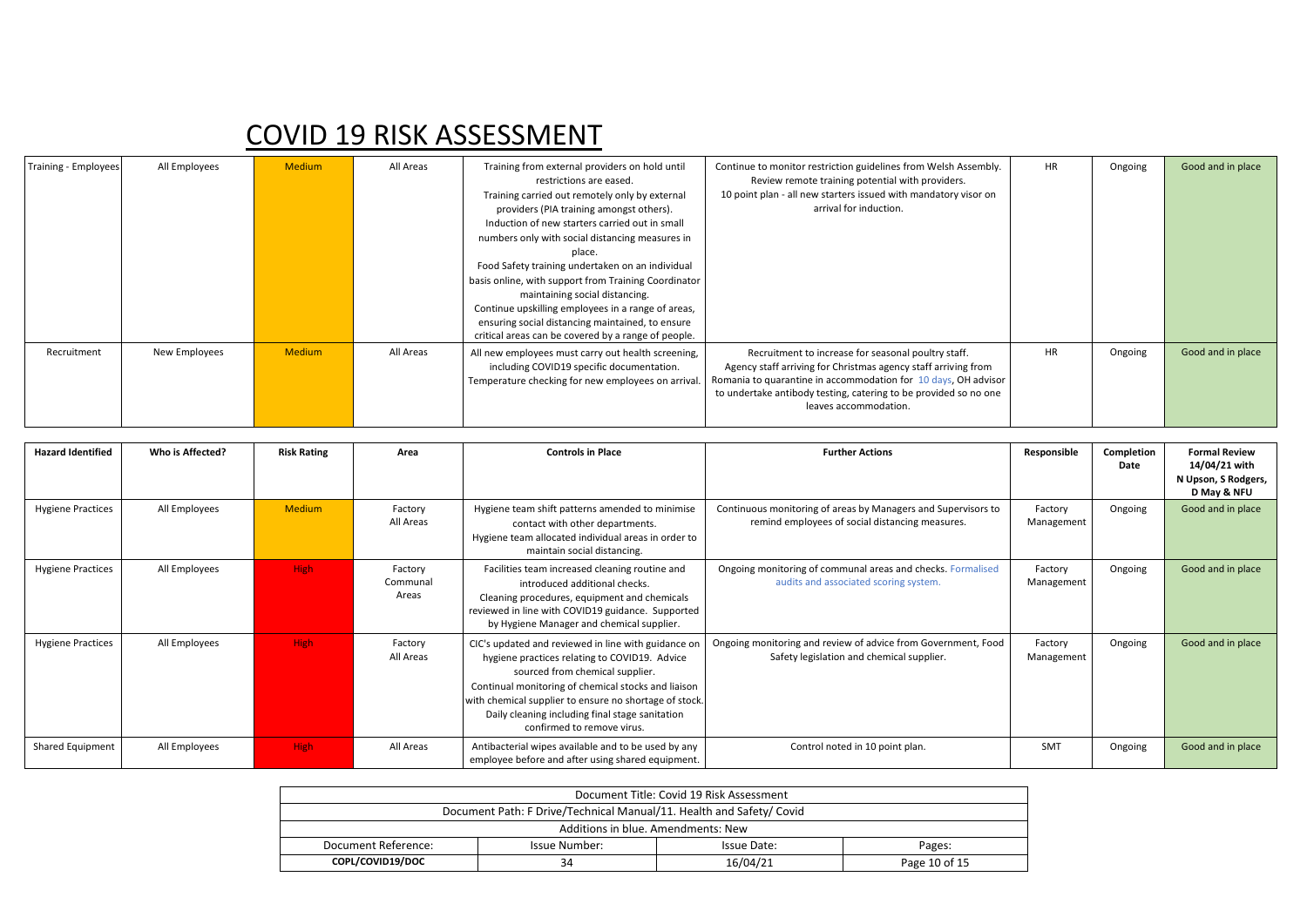| <b>Training - Employees</b> | All Employees | <b>Medium</b> | All Areas | Training from external providers on hold until<br>restrictions are eased.<br>Training carried out remotely only by external<br>providers (PIA training amongst others).<br>Induction of new starters carried out in small<br>numbers only with social distancing measures in<br>place.<br>Food Safety training undertaken on an individual<br>basis online, with support from Training Coordinator<br>maintaining social distancing.<br>Continue upskilling employees in a range of areas,<br>ensuring social distancing maintained, to ensure<br>critical areas can be covered by a range of people. | Continue to monitor restriction guidelines from Welsh Assembly.<br>Review remote training potential with providers.<br>10 point plan - all new starters issued with mandatory visor on<br>arrival for induction.                                                                     | <b>HR</b> | Ongoing | Good and in place |
|-----------------------------|---------------|---------------|-----------|-------------------------------------------------------------------------------------------------------------------------------------------------------------------------------------------------------------------------------------------------------------------------------------------------------------------------------------------------------------------------------------------------------------------------------------------------------------------------------------------------------------------------------------------------------------------------------------------------------|--------------------------------------------------------------------------------------------------------------------------------------------------------------------------------------------------------------------------------------------------------------------------------------|-----------|---------|-------------------|
| Recruitment                 | New Employees | <b>Medium</b> | All Areas | All new employees must carry out health screening,<br>including COVID19 specific documentation.<br>Temperature checking for new employees on arrival.                                                                                                                                                                                                                                                                                                                                                                                                                                                 | Recruitment to increase for seasonal poultry staff.<br>Agency staff arriving for Christmas agency staff arriving from<br>Romania to quarantine in accommodation for 10 days, OH advisor<br>to undertake antibody testing, catering to be provided so no one<br>leaves accommodation. | <b>HR</b> | Ongoing | Good and in place |

| <b>Hazard Identified</b> | Who is Affected? | <b>Risk Rating</b> | Area                         | <b>Controls in Place</b>                                                                                                                                                                                                                                                                                                                  | <b>Further Actions</b>                                                                                           | Responsible           | Completion<br>Date | <b>Formal Review</b><br>14/04/21 with<br>N Upson, S Rodgers,<br>D May & NFU |
|--------------------------|------------------|--------------------|------------------------------|-------------------------------------------------------------------------------------------------------------------------------------------------------------------------------------------------------------------------------------------------------------------------------------------------------------------------------------------|------------------------------------------------------------------------------------------------------------------|-----------------------|--------------------|-----------------------------------------------------------------------------|
| <b>Hygiene Practices</b> | All Employees    | <b>Medium</b>      | Factory<br>All Areas         | Hygiene team shift patterns amended to minimise<br>contact with other departments.<br>Hygiene team allocated individual areas in order to<br>maintain social distancing.                                                                                                                                                                  | Continuous monitoring of areas by Managers and Supervisors to<br>remind employees of social distancing measures. | Factory<br>Management | Ongoing            | Good and in place                                                           |
| <b>Hygiene Practices</b> | All Employees    | <b>High</b>        | Factory<br>Communal<br>Areas | Facilities team increased cleaning routine and<br>introduced additional checks.<br>Cleaning procedures, equipment and chemicals<br>reviewed in line with COVID19 guidance. Supported<br>by Hygiene Manager and chemical supplier.                                                                                                         | Ongoing monitoring of communal areas and checks. Formalised<br>audits and associated scoring system.             | Factory<br>Management | Ongoing            | Good and in place                                                           |
| <b>Hygiene Practices</b> | All Employees    | <b>High</b>        | Factory<br>All Areas         | CIC's updated and reviewed in line with guidance on<br>hygiene practices relating to COVID19. Advice<br>sourced from chemical supplier.<br>Continual monitoring of chemical stocks and liaison<br>with chemical supplier to ensure no shortage of stock.<br>Daily cleaning including final stage sanitation<br>confirmed to remove virus. | Ongoing monitoring and review of advice from Government, Food<br>Safety legislation and chemical supplier.       | Factory<br>Management | Ongoing            | Good and in place                                                           |
| Shared Equipment         | All Employees    | <b>High</b>        | All Areas                    | Antibacterial wipes available and to be used by any<br>employee before and after using shared equipment.                                                                                                                                                                                                                                  | Control noted in 10 point plan.                                                                                  | <b>SMT</b>            | Ongoing            | Good and in place                                                           |

| Document Title: Covid 19 Risk Assessment                             |                                        |  |  |  |  |  |  |  |
|----------------------------------------------------------------------|----------------------------------------|--|--|--|--|--|--|--|
| Document Path: F Drive/Technical Manual/11. Health and Safety/ Covid |                                        |  |  |  |  |  |  |  |
| Additions in blue. Amendments: New                                   |                                        |  |  |  |  |  |  |  |
| Document Reference:                                                  | Issue Number:<br>Issue Date:<br>Pages: |  |  |  |  |  |  |  |
| COPL/COVID19/DOC<br>16/04/21<br>Page 10 of 15<br>34                  |                                        |  |  |  |  |  |  |  |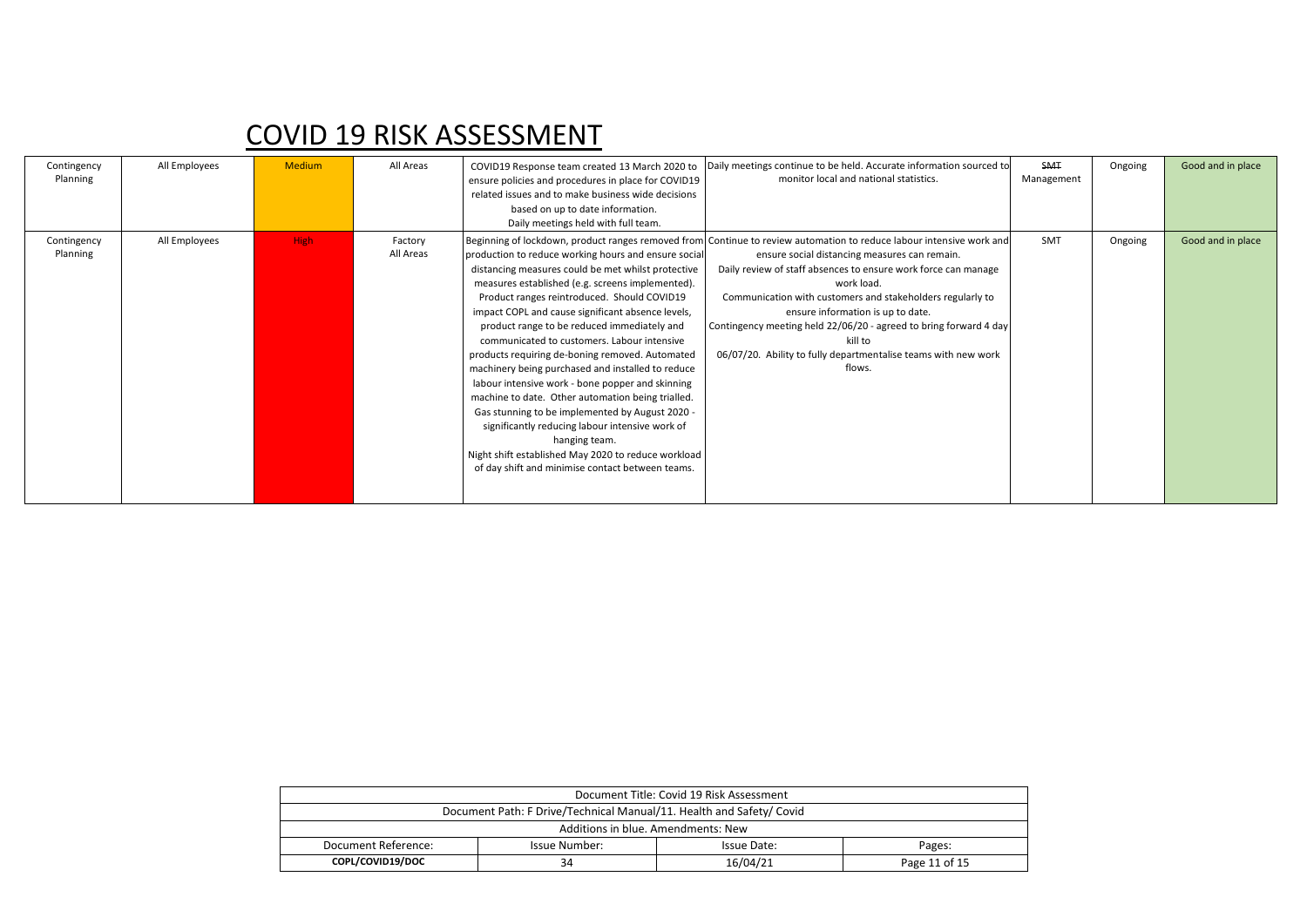| Contingency<br>Planning | All Employees | <b>Medium</b> | All Areas            | ensure policies and procedures in place for COVID19<br>related issues and to make business wide decisions<br>based on up to date information.<br>Daily meetings held with full team.                                                                                                                                                                                                                                                                                                                                                                                                                                                                                                                                                                                                                                | COVID19 Response team created 13 March 2020 to  Daily meetings continue to be held. Accurate information sourced to<br>monitor local and national statistics.                                                                                                                                                                                                                                                                                                                                                        | <b>SMT</b><br>Management | Ongoing | Good and in place |
|-------------------------|---------------|---------------|----------------------|---------------------------------------------------------------------------------------------------------------------------------------------------------------------------------------------------------------------------------------------------------------------------------------------------------------------------------------------------------------------------------------------------------------------------------------------------------------------------------------------------------------------------------------------------------------------------------------------------------------------------------------------------------------------------------------------------------------------------------------------------------------------------------------------------------------------|----------------------------------------------------------------------------------------------------------------------------------------------------------------------------------------------------------------------------------------------------------------------------------------------------------------------------------------------------------------------------------------------------------------------------------------------------------------------------------------------------------------------|--------------------------|---------|-------------------|
| Contingency<br>Planning | All Employees | High          | Factory<br>All Areas | production to reduce working hours and ensure social<br>distancing measures could be met whilst protective<br>measures established (e.g. screens implemented).<br>Product ranges reintroduced. Should COVID19<br>impact COPL and cause significant absence levels,<br>product range to be reduced immediately and<br>communicated to customers. Labour intensive<br>products requiring de-boning removed. Automated<br>machinery being purchased and installed to reduce<br>labour intensive work - bone popper and skinning<br>machine to date. Other automation being trialled.<br>Gas stunning to be implemented by August 2020 -<br>significantly reducing labour intensive work of<br>hanging team.<br>Night shift established May 2020 to reduce workload<br>of day shift and minimise contact between teams. | Beginning of lockdown, product ranges removed from Continue to review automation to reduce labour intensive work and<br>ensure social distancing measures can remain.<br>Daily review of staff absences to ensure work force can manage<br>work load.<br>Communication with customers and stakeholders regularly to<br>ensure information is up to date.<br>Contingency meeting held 22/06/20 - agreed to bring forward 4 day<br>kill to<br>06/07/20. Ability to fully departmentalise teams with new work<br>flows. | SMT                      | Ongoing | Good and in place |

| Document Title: Covid 19 Risk Assessment                             |                                        |  |  |  |  |  |  |  |
|----------------------------------------------------------------------|----------------------------------------|--|--|--|--|--|--|--|
| Document Path: F Drive/Technical Manual/11. Health and Safety/ Covid |                                        |  |  |  |  |  |  |  |
| Additions in blue. Amendments: New                                   |                                        |  |  |  |  |  |  |  |
| Document Reference:                                                  | Issue Number:<br>Issue Date:<br>Pages: |  |  |  |  |  |  |  |
| COPL/COVID19/DOC<br>16/04/21<br>34<br>Page 11 of 15                  |                                        |  |  |  |  |  |  |  |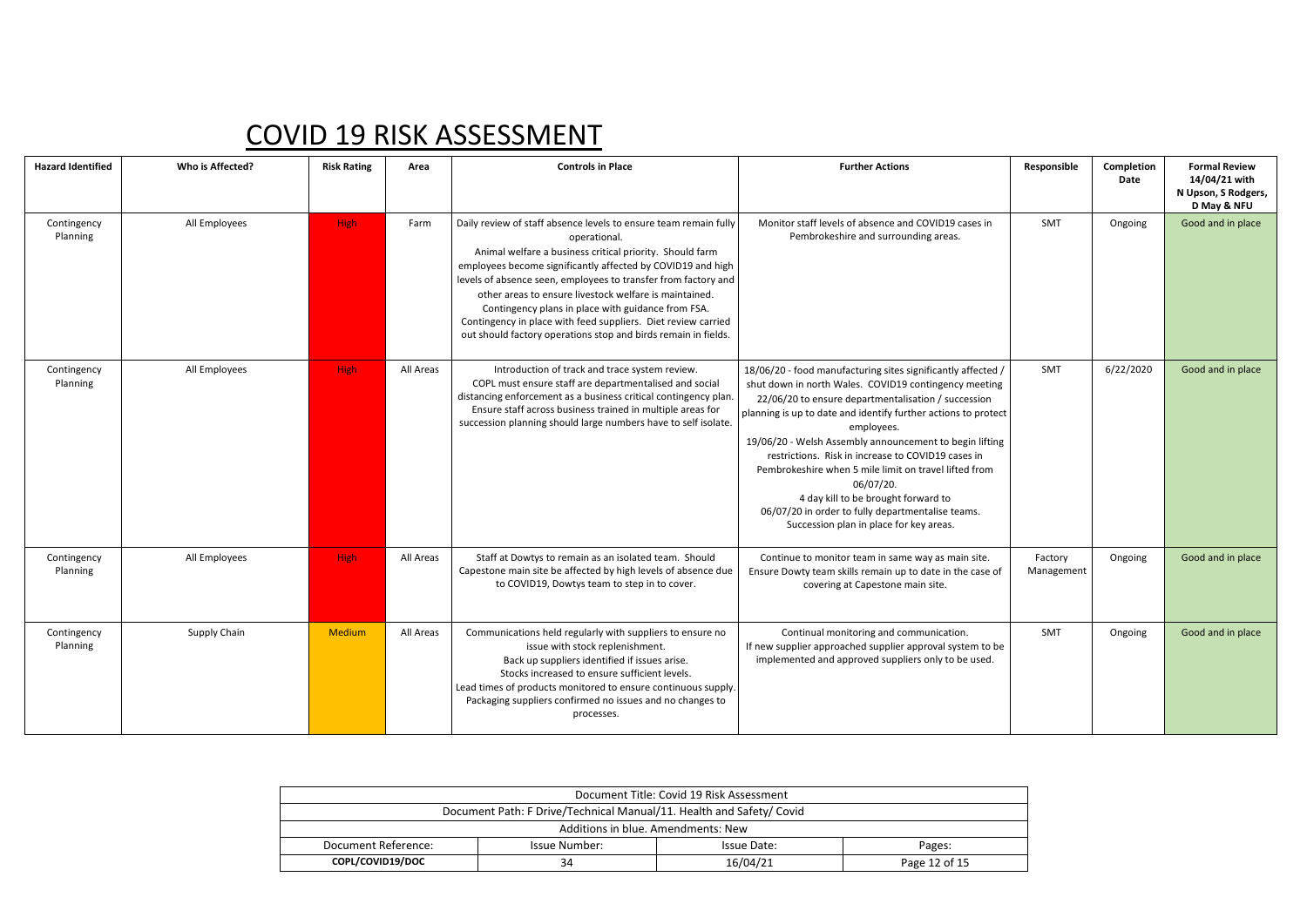| <b>Hazard Identified</b> | Who is Affected? | <b>Risk Rating</b> | Area      | <b>Controls in Place</b>                                                                                                                                                                                                                                                                                                                                                                                                                                                                                                         | <b>Further Actions</b>                                                                                                                                                                                                                                                                                                                                                                                                                                                                                                                                                                     | Responsible           | Completion<br>Date | <b>Formal Review</b><br>14/04/21 with<br>N Upson, S Rodgers,<br>D May & NFU |
|--------------------------|------------------|--------------------|-----------|----------------------------------------------------------------------------------------------------------------------------------------------------------------------------------------------------------------------------------------------------------------------------------------------------------------------------------------------------------------------------------------------------------------------------------------------------------------------------------------------------------------------------------|--------------------------------------------------------------------------------------------------------------------------------------------------------------------------------------------------------------------------------------------------------------------------------------------------------------------------------------------------------------------------------------------------------------------------------------------------------------------------------------------------------------------------------------------------------------------------------------------|-----------------------|--------------------|-----------------------------------------------------------------------------|
| Contingency<br>Planning  | All Employees    | High               | Farm      | Daily review of staff absence levels to ensure team remain fully<br>operational.<br>Animal welfare a business critical priority. Should farm<br>employees become significantly affected by COVID19 and high<br>levels of absence seen, employees to transfer from factory and<br>other areas to ensure livestock welfare is maintained.<br>Contingency plans in place with guidance from FSA.<br>Contingency in place with feed suppliers. Diet review carried<br>out should factory operations stop and birds remain in fields. | Monitor staff levels of absence and COVID19 cases in<br>Pembrokeshire and surrounding areas.                                                                                                                                                                                                                                                                                                                                                                                                                                                                                               | <b>SMT</b>            | Ongoing            | Good and in place                                                           |
| Contingency<br>Planning  | All Employees    | High:              | All Areas | Introduction of track and trace system review.<br>COPL must ensure staff are departmentalised and social<br>distancing enforcement as a business critical contingency plan.<br>Ensure staff across business trained in multiple areas for<br>succession planning should large numbers have to self isolate.                                                                                                                                                                                                                      | 18/06/20 - food manufacturing sites significantly affected /<br>shut down in north Wales. COVID19 contingency meeting<br>22/06/20 to ensure departmentalisation / succession<br>planning is up to date and identify further actions to protect<br>employees.<br>19/06/20 - Welsh Assembly announcement to begin lifting<br>restrictions. Risk in increase to COVID19 cases in<br>Pembrokeshire when 5 mile limit on travel lifted from<br>06/07/20.<br>4 day kill to be brought forward to<br>06/07/20 in order to fully departmentalise teams.<br>Succession plan in place for key areas. | <b>SMT</b>            | 6/22/2020          | Good and in place                                                           |
| Contingency<br>Planning  | All Employees    | High               | All Areas | Staff at Dowtys to remain as an isolated team. Should<br>Capestone main site be affected by high levels of absence due<br>to COVID19, Dowtys team to step in to cover.                                                                                                                                                                                                                                                                                                                                                           | Continue to monitor team in same way as main site.<br>Ensure Dowty team skills remain up to date in the case of<br>covering at Capestone main site.                                                                                                                                                                                                                                                                                                                                                                                                                                        | Factory<br>Management | Ongoing            | Good and in place                                                           |
| Contingency<br>Planning  | Supply Chain     | <b>Medium</b>      | All Areas | Communications held regularly with suppliers to ensure no<br>issue with stock replenishment.<br>Back up suppliers identified if issues arise.<br>Stocks increased to ensure sufficient levels.<br>Lead times of products monitored to ensure continuous supply.<br>Packaging suppliers confirmed no issues and no changes to<br>processes.                                                                                                                                                                                       | Continual monitoring and communication.<br>If new supplier approached supplier approval system to be<br>implemented and approved suppliers only to be used.                                                                                                                                                                                                                                                                                                                                                                                                                                | <b>SMT</b>            | Ongoing            | Good and in place                                                           |

| Document Title: Covid 19 Risk Assessment                             |                      |             |        |  |  |  |  |
|----------------------------------------------------------------------|----------------------|-------------|--------|--|--|--|--|
| Document Path: F Drive/Technical Manual/11. Health and Safety/ Covid |                      |             |        |  |  |  |  |
| Additions in blue. Amendments: New                                   |                      |             |        |  |  |  |  |
| Document Reference:                                                  | <b>Issue Number:</b> | Issue Date: | Pages: |  |  |  |  |
| COPL/COVID19/DOC<br>16/04/21<br>Page 12 of 15<br>34                  |                      |             |        |  |  |  |  |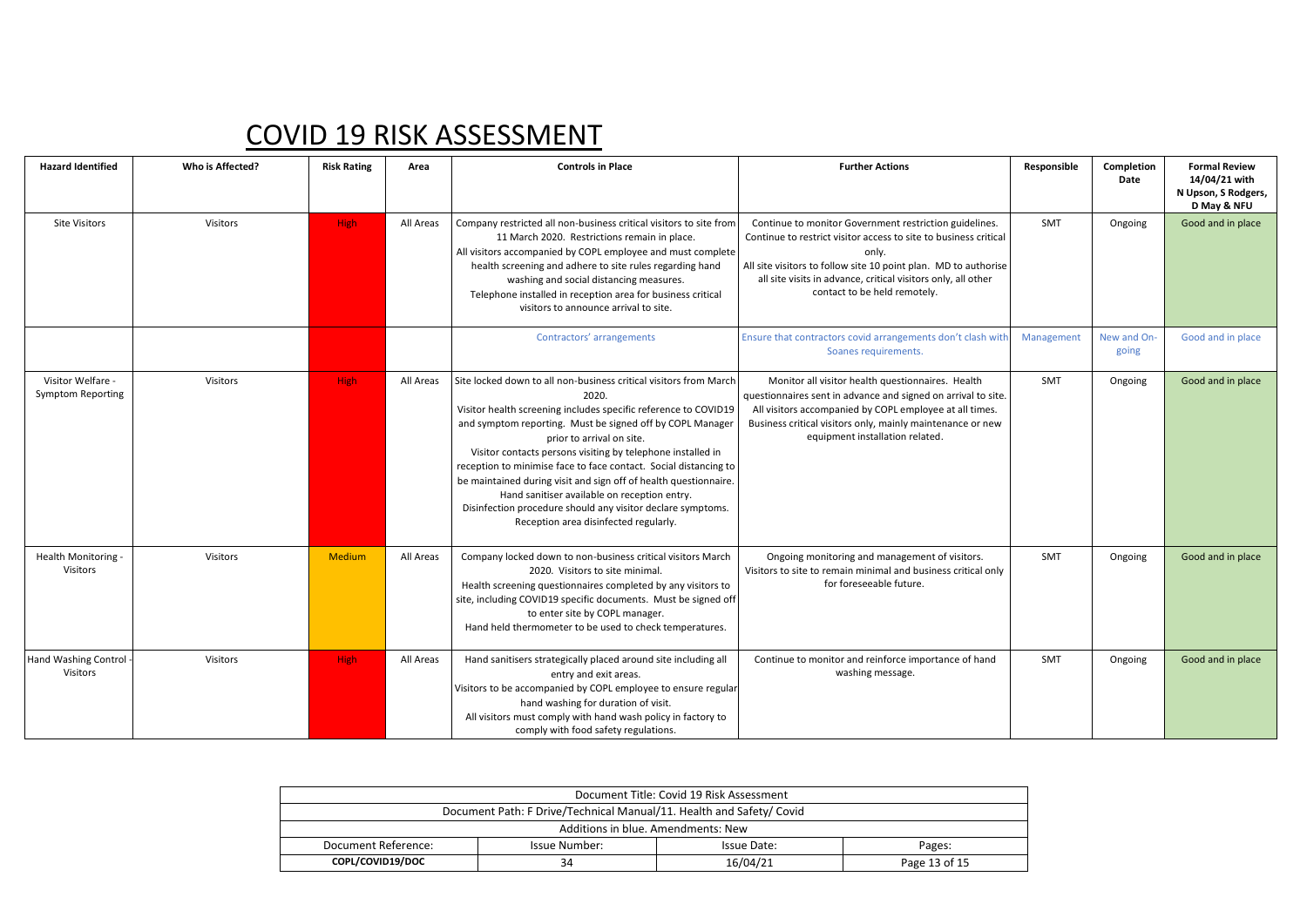| <b>Hazard Identified</b>                      | Who is Affected? | <b>Risk Rating</b> | Area      | <b>Controls in Place</b>                                                                                                                                                                                                                                                                                                                                                                                                                                                                                                                                                                               | <b>Further Actions</b>                                                                                                                                                                                                                                                                                  | Responsible | Completion<br>Date   | <b>Formal Review</b><br>14/04/21 with<br>N Upson, S Rodgers,<br>D May & NFU |
|-----------------------------------------------|------------------|--------------------|-----------|--------------------------------------------------------------------------------------------------------------------------------------------------------------------------------------------------------------------------------------------------------------------------------------------------------------------------------------------------------------------------------------------------------------------------------------------------------------------------------------------------------------------------------------------------------------------------------------------------------|---------------------------------------------------------------------------------------------------------------------------------------------------------------------------------------------------------------------------------------------------------------------------------------------------------|-------------|----------------------|-----------------------------------------------------------------------------|
| <b>Site Visitors</b>                          | Visitors         | <b>High</b>        | All Areas | Company restricted all non-business critical visitors to site from<br>11 March 2020. Restrictions remain in place.<br>All visitors accompanied by COPL employee and must complete<br>health screening and adhere to site rules regarding hand<br>washing and social distancing measures.<br>Telephone installed in reception area for business critical<br>visitors to announce arrival to site.                                                                                                                                                                                                       | Continue to monitor Government restriction guidelines.<br>Continue to restrict visitor access to site to business critical<br>only.<br>All site visitors to follow site 10 point plan. MD to authorise<br>all site visits in advance, critical visitors only, all other<br>contact to be held remotely. | SMT         | Ongoing              | Good and in place                                                           |
|                                               |                  |                    |           | Contractors' arrangements                                                                                                                                                                                                                                                                                                                                                                                                                                                                                                                                                                              | Ensure that contractors covid arrangements don't clash with<br>Soanes requirements.                                                                                                                                                                                                                     | Management  | New and On-<br>going | Good and in place                                                           |
| Visitor Welfare -<br><b>Symptom Reporting</b> | Visitors         | <b>High</b>        | All Areas | Site locked down to all non-business critical visitors from March<br>2020.<br>Visitor health screening includes specific reference to COVID19<br>and symptom reporting. Must be signed off by COPL Manager<br>prior to arrival on site.<br>Visitor contacts persons visiting by telephone installed in<br>reception to minimise face to face contact. Social distancing to<br>be maintained during visit and sign off of health questionnaire.<br>Hand sanitiser available on reception entry.<br>Disinfection procedure should any visitor declare symptoms.<br>Reception area disinfected regularly. | Monitor all visitor health questionnaires. Health<br>questionnaires sent in advance and signed on arrival to site.<br>All visitors accompanied by COPL employee at all times.<br>Business critical visitors only, mainly maintenance or new<br>equipment installation related.                          | <b>SMT</b>  | Ongoing              | Good and in place                                                           |
| Health Monitoring -<br><b>Visitors</b>        | Visitors         | Medium             | All Areas | Company locked down to non-business critical visitors March<br>2020. Visitors to site minimal.<br>Health screening questionnaires completed by any visitors to<br>site, including COVID19 specific documents. Must be signed off<br>to enter site by COPL manager.<br>Hand held thermometer to be used to check temperatures.                                                                                                                                                                                                                                                                          | Ongoing monitoring and management of visitors.<br>Visitors to site to remain minimal and business critical only<br>for foreseeable future.                                                                                                                                                              | SMT         | Ongoing              | Good and in place                                                           |
| Hand Washing Control<br><b>Visitors</b>       | Visitors         | <b>High</b>        | All Areas | Hand sanitisers strategically placed around site including all<br>entry and exit areas.<br>Visitors to be accompanied by COPL employee to ensure regular<br>hand washing for duration of visit.<br>All visitors must comply with hand wash policy in factory to<br>comply with food safety regulations.                                                                                                                                                                                                                                                                                                | Continue to monitor and reinforce importance of hand<br>washing message.                                                                                                                                                                                                                                | SMT         | Ongoing              | Good and in place                                                           |

| Document Title: Covid 19 Risk Assessment                             |               |             |               |  |  |  |  |
|----------------------------------------------------------------------|---------------|-------------|---------------|--|--|--|--|
| Document Path: F Drive/Technical Manual/11. Health and Safety/ Covid |               |             |               |  |  |  |  |
| Additions in blue. Amendments: New                                   |               |             |               |  |  |  |  |
| Document Reference:                                                  | Issue Number: | Issue Date: | Pages:        |  |  |  |  |
| COPL/COVID19/DOC                                                     | 34            | 16/04/21    | Page 13 of 15 |  |  |  |  |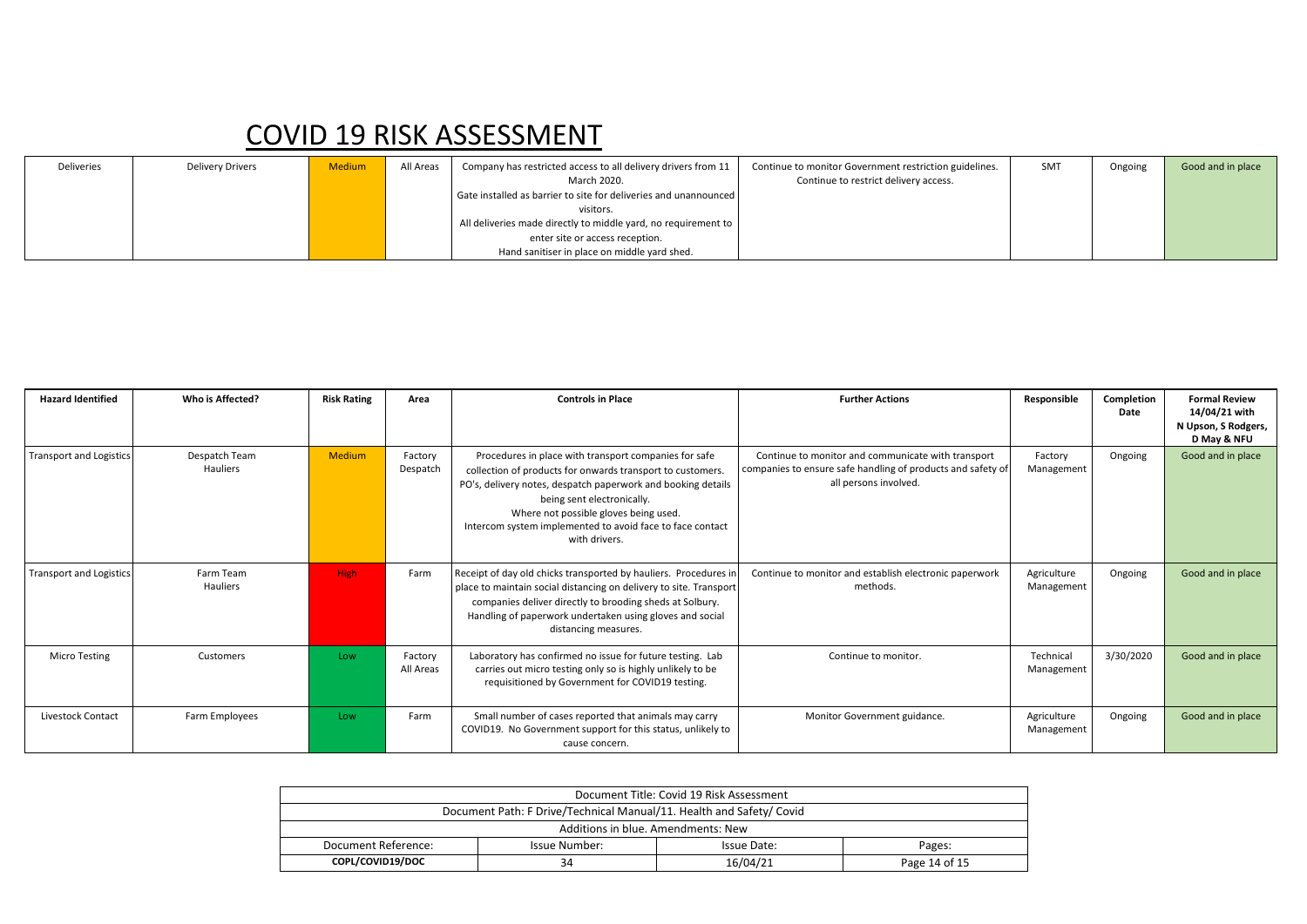| Deliveries | <b>Delivery Drivers</b> | <b>Medium</b> | All Areas | Company has restricted access to all delivery drivers from 11    | Continue to monitor Government restriction guidelines. | SMT | Ongoing | Good and in place |
|------------|-------------------------|---------------|-----------|------------------------------------------------------------------|--------------------------------------------------------|-----|---------|-------------------|
|            |                         |               |           | March 2020.                                                      | Continue to restrict delivery access.                  |     |         |                   |
|            |                         |               |           | Gate installed as barrier to site for deliveries and unannounced |                                                        |     |         |                   |
|            |                         |               |           | visitors.                                                        |                                                        |     |         |                   |
|            |                         |               |           | All deliveries made directly to middle yard, no requirement to   |                                                        |     |         |                   |
|            |                         |               |           | enter site or access reception.                                  |                                                        |     |         |                   |
|            |                         |               |           | Hand sanitiser in place on middle yard shed.                     |                                                        |     |         |                   |

| <b>Hazard Identified</b>       | Who is Affected?          | <b>Risk Rating</b> | Area                 | <b>Controls in Place</b>                                                                                                                                                                                                                                                                                                                 | <b>Further Actions</b>                                                                                                                     | Responsible               | Completion<br>Date | <b>Formal Review</b><br>14/04/21 with<br>N Upson, S Rodgers,<br>D May & NFU |
|--------------------------------|---------------------------|--------------------|----------------------|------------------------------------------------------------------------------------------------------------------------------------------------------------------------------------------------------------------------------------------------------------------------------------------------------------------------------------------|--------------------------------------------------------------------------------------------------------------------------------------------|---------------------------|--------------------|-----------------------------------------------------------------------------|
| Transport and Logistics        | Despatch Team<br>Hauliers | <b>Medium</b>      | Factory<br>Despatch  | Procedures in place with transport companies for safe<br>collection of products for onwards transport to customers.<br>PO's, delivery notes, despatch paperwork and booking details<br>being sent electronically.<br>Where not possible gloves being used.<br>Intercom system implemented to avoid face to face contact<br>with drivers. | Continue to monitor and communicate with transport<br>companies to ensure safe handling of products and safety of<br>all persons involved. | Factory<br>Management     | Ongoing            | Good and in place                                                           |
| <b>Transport and Logistics</b> | Farm Team<br>Hauliers     | <b>High</b>        | Farm                 | Receipt of day old chicks transported by hauliers. Procedures in<br>place to maintain social distancing on delivery to site. Transport<br>companies deliver directly to brooding sheds at Solbury.<br>Handling of paperwork undertaken using gloves and social<br>distancing measures.                                                   | Continue to monitor and establish electronic paperwork<br>methods.                                                                         | Agriculture<br>Management | Ongoing            | Good and in place                                                           |
| <b>Micro Testing</b>           | Customers                 | Low                | Factory<br>All Areas | Laboratory has confirmed no issue for future testing. Lab<br>carries out micro testing only so is highly unlikely to be<br>requisitioned by Government for COVID19 testing.                                                                                                                                                              | Continue to monitor.                                                                                                                       | Technical<br>Management   | 3/30/2020          | Good and in place                                                           |
| Livestock Contact              | Farm Employees            | Low                | Farm                 | Small number of cases reported that animals may carry<br>COVID19. No Government support for this status, unlikely to<br>cause concern.                                                                                                                                                                                                   | Monitor Government guidance.                                                                                                               | Agriculture<br>Management | Ongoing            | Good and in place                                                           |

| Document Title: Covid 19 Risk Assessment                             |               |             |               |  |  |  |
|----------------------------------------------------------------------|---------------|-------------|---------------|--|--|--|
| Document Path: F Drive/Technical Manual/11. Health and Safety/ Covid |               |             |               |  |  |  |
| Additions in blue. Amendments: New                                   |               |             |               |  |  |  |
| Document Reference:                                                  | Issue Number: | Issue Date: | Pages:        |  |  |  |
| COPL/COVID19/DOC                                                     | 34            | 16/04/21    | Page 14 of 15 |  |  |  |